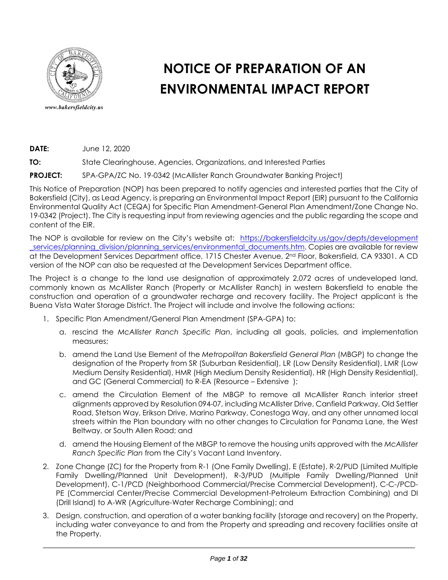

# **NOTICE OF PREPARATION OF AN ENVIRONMENTAL IMPACT REPORT**

**DATE:** June 12, 2020

**TO:** State Clearinghouse, Agencies, Organizations, and Interested Parties

**PROJECT:** SPA-GPA/ZC No. 19-0342 (McAllister Ranch Groundwater Banking Project)

This Notice of Preparation (NOP) has been prepared to notify agencies and interested parties that the City of Bakersfield (City), as Lead Agency, is preparing an Environmental Impact Report (EIR) pursuant to the California Environmental Quality Act (CEQA) for Specific Plan Amendment-General Plan Amendment/Zone Change No. 19-0342 (Project). The City is requesting input from reviewing agencies and the public regarding the scope and content of the EIR.

The NOP is available for review on the City's website at: [https://bakersfieldcity.us/gov/depts/development](https://bakersfieldcity.us/gov/depts/development_services/planning_division/planning_services/environmental_documents.htm) [\\_services/planning\\_division/planning\\_services/environmental\\_documents.htm.](https://bakersfieldcity.us/gov/depts/development_services/planning_division/planning_services/environmental_documents.htm) Copies are available for review at the Development Services Department office, 1715 Chester Avenue, 2<sup>nd</sup> Floor, Bakersfield, CA 93301. A CD version of the NOP can also be requested at the Development Services Department office.

The Project is a change to the land use designation of approximately 2,072 acres of undeveloped land, commonly known as McAllister Ranch (Property or McAllister Ranch) in western Bakersfield to enable the construction and operation of a groundwater recharge and recovery facility. The Project applicant is the Buena Vista Water Storage District. The Project will include and involve the following actions:

- 1. Specific Plan Amendment/General Plan Amendment (SPA-GPA) to:
	- a. rescind the *McAllister Ranch Specific Plan*, including all goals, policies, and implementation measures;
	- b. amend the Land Use Element of the *Metropolitan Bakersfield General Plan* (MBGP) to change the designation of the Property from SR (Suburban Residential), LR (Low Density Residential), LMR (Low Medium Density Residential), HMR (High Medium Density Residential), HR (High Density Residential), and GC (General Commercial) to R-EA (Resource – Extensive );
	- c. amend the Circulation Element of the MBGP to remove all McAllister Ranch interior street alignments approved by Resolution 094-07, including McAllister Drive, Canfield Parkway, Old Settler Road, Stetson Way, Erikson Drive, Marino Parkway, Conestoga Way, and any other unnamed local streets within the Plan boundary with no other changes to Circulation for Panama Lane, the West Beltway, or South Allen Road; and
	- d. amend the Housing Element of the MBGP to remove the housing units approved with the *McAllister Ranch Specific Plan* from the City's Vacant Land Inventory.
- 2. Zone Change (ZC) for the Property from R-1 (One Family Dwelling), E (Estate), R-2/PUD (Limited Multiple Family Dwelling/Planned Unit Development), R-3/PUD (Multiple Family Dwelling/Planned Unit Development), C-1/PCD (Neighborhood Commercial/Precise Commercial Development), C-C-/PCD-PE (Commercial Center/Precise Commercial Development-Petroleum Extraction Combining) and DI (Drill Island) to A-WR (Agriculture-Water Recharge Combining); and
- 3. Design, construction, and operation of a water banking facility (storage and recovery) on the Property, including water conveyance to and from the Property and spreading and recovery facilities onsite at the Property.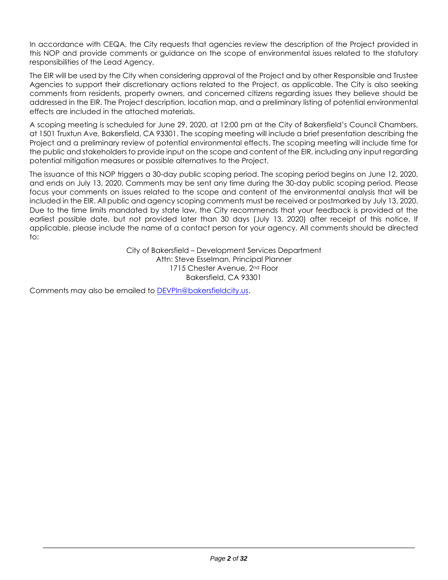In accordance with CEQA, the City requests that agencies review the description of the Project provided in this NOP and provide comments or guidance on the scope of environmental issues related to the statutory responsibilities of the Lead Agency.

The EIR will be used by the City when considering approval of the Project and by other Responsible and Trustee Agencies to support their discretionary actions related to the Project, as applicable. The City is also seeking comments from residents, property owners, and concerned citizens regarding issues they believe should be addressed in the EIR. The Project description, location map, and a preliminary listing of potential environmental effects are included in the attached materials.

A scoping meeting is scheduled for June 29, 2020, at 12:00 pm at the City of Bakersfield's Council Chambers, at 1501 Truxtun Ave, Bakersfield, CA 93301. The scoping meeting will include a brief presentation describing the Project and a preliminary review of potential environmental effects. The scoping meeting will include time for the public and stakeholders to provide input on the scope and content of the EIR, including any input regarding potential mitigation measures or possible alternatives to the Project.

The issuance of this NOP triggers a 30-day public scoping period. The scoping period begins on June 12, 2020, and ends on July 13, 2020. Comments may be sent any time during the 30-day public scoping period. Please focus your comments on issues related to the scope and content of the environmental analysis that will be included in the EIR. All public and agency scoping comments must be received or postmarked by July 13, 2020. Due to the time limits mandated by state law, the City recommends that your feedback is provided at the earliest possible date, but not provided later than 30 days (July 13, 2020) after receipt of this notice. If applicable, please include the name of a contact person for your agency. All comments should be directed to:

> City of Bakersfield – Development Services Department Attn: Steve Esselman, Principal Planner 1715 Chester Avenue, 2<sup>nd</sup> Floor Bakersfield, CA 93301

Comments may also be emailed to [DEVPln@bakersfieldcity.us.](mailto:DEVPln@bakersfieldcity.us)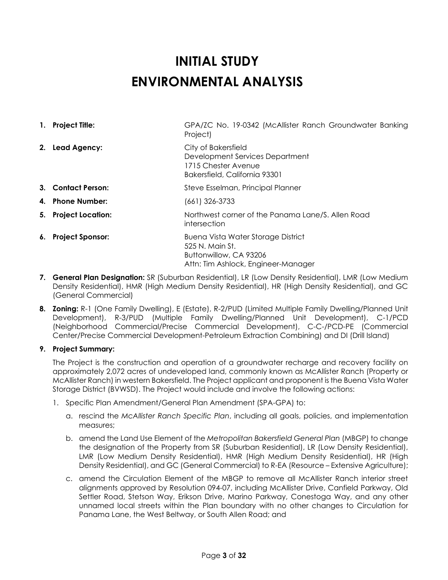# **INITIAL STUDY ENVIRONMENTAL ANALYSIS**

**1. Project Title:** GPA/ZC No. 19-0342 (McAllister Ranch Groundwater Banking Project)

### **2. Lead Agency:** City of Bakersfield Development Services Department 1715 Chester Avenue Bakersfield, California 93301

- **3. Contact Person: Steve Esselman, Principal Planner**
- **4. Phone Number:** (661) 326-3733
- **5. Project Location:** Northwest corner of the Panama Lane/S. Allen Road intersection
- **6. Project Sponsor: Buena Vista Water Storage District** 525 N. Main St. Buttonwillow, CA 93206 Attn: Tim Ashlock, Engineer-Manager
- **7. General Plan Designation:** SR (Suburban Residential), LR (Low Density Residential), LMR (Low Medium Density Residential), HMR (High Medium Density Residential), HR (High Density Residential), and GC (General Commercial)
- **8. Zoning:** R-1 (One Family Dwelling), E (Estate), R-2/PUD (Limited Multiple Family Dwelling/Planned Unit Development), R-3/PUD (Multiple Family Dwelling/Planned Unit Development), C-1/PCD (Neighborhood Commercial/Precise Commercial Development), C-C-/PCD-PE (Commercial Center/Precise Commercial Development-Petroleum Extraction Combining) and DI (Drill Island)

# **9. Project Summary:**

The Project is the construction and operation of a groundwater recharge and recovery facility on approximately 2,072 acres of undeveloped land, commonly known as McAllister Ranch (Property or McAllister Ranch) in western Bakersfield. The Project applicant and proponent is the Buena Vista Water Storage District (BVWSD). The Project would include and involve the following actions:

- 1. Specific Plan Amendment/General Plan Amendment (SPA-GPA) to:
	- a. rescind the *McAllister Ranch Specific Plan*, including all goals, policies, and implementation measures;
	- b. amend the Land Use Element of the *Metropolitan Bakersfield General Plan* (MBGP) to change the designation of the Property from SR (Suburban Residential), LR (Low Density Residential), LMR (Low Medium Density Residential), HMR (High Medium Density Residential), HR (High Density Residential), and GC (General Commercial) to R-EA (Resource – Extensive Agriculture);
	- c. amend the Circulation Element of the MBGP to remove all McAllister Ranch interior street alignments approved by Resolution 094-07, including McAllister Drive, Canfield Parkway, Old Settler Road, Stetson Way, Erikson Drive, Marino Parkway, Conestoga Way, and any other unnamed local streets within the Plan boundary with no other changes to Circulation for Panama Lane, the West Beltway, or South Allen Road; and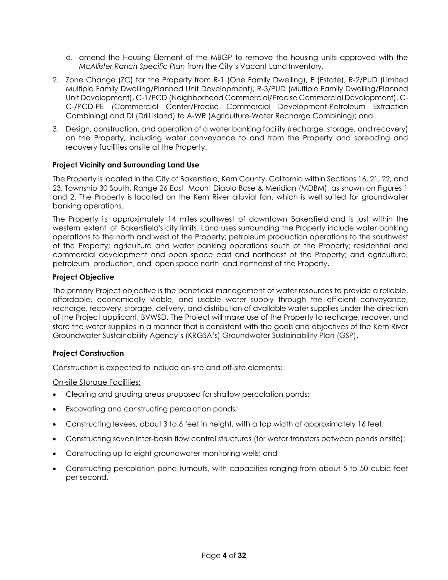- d. amend the Housing Element of the MBGP to remove the housing units approved with the *McAllister Ranch Specific Plan* from the City's Vacant Land Inventory.
- 2. Zone Change (ZC) for the Property from R-1 (One Family Dwelling), E (Estate), R-2/PUD (Limited Multiple Family Dwelling/Planned Unit Development), R-3/PUD (Multiple Family Dwelling/Planned Unit Development), C-1/PCD (Neighborhood Commercial/Precise Commercial Development), C-C-/PCD-PE (Commercial Center/Precise Commercial Development-Petroleum Extraction Combining) and DI (Drill Island) to A-WR (Agriculture-Water Recharge Combining); and
- 3. Design, construction, and operation of a water banking facility (recharge, storage, and recovery) on the Property, including water conveyance to and from the Property and spreading and recovery facilities onsite at the Property.

#### **Project Vicinity and Surrounding Land Use**

The Property is located in the City of Bakersfield, Kern County, California within Sections 16, 21, 22, and 23, Township 30 South, Range 26 East, Mount Diablo Base & Meridian (MDBM), as shown on Figures 1 and 2. The Property is located on the Kern River alluvial fan, which is well suited for groundwater banking operations.

The Property is approximately 14 miles southwest of downtown Bakersfield and is just within the western extent of Bakersfield's city limits. Land uses surrounding the Property include water banking operations to the north and west of the Property; petroleum production operations to the southwest of the Property; agriculture and water banking operations south of the Property; residential and commercial development and open space east and northeast of the Property; and agriculture, petroleum production, and open space north and northeast of the Property.

#### **Project Objective**

The primary Project objective is the beneficial management of water resources to provide a reliable, affordable, economically viable, and usable water supply through the efficient conveyance, recharge, recovery, storage, delivery, and distribution of available water supplies under the direction of the Project applicant, BVWSD. The Project will make use of the Property to recharge, recover, and store the water supplies in a manner that is consistent with the goals and objectives of the Kern River Groundwater Sustainability Agency's (KRGSA's) Groundwater Sustainability Plan (GSP).

#### **Project Construction**

Construction is expected to include on-site and off-site elements:

On-site Storage Facilities:

- Clearing and grading areas proposed for shallow percolation ponds;
- Excavating and constructing percolation ponds;
- Constructing levees, about 3 to 6 feet in height, with a top width of approximately 16 feet;
- Constructing seven inter-basin flow control structures (for water transfers between ponds onsite);
- Constructing up to eight groundwater monitoring wells; and
- Constructing percolation pond turnouts, with capacities ranging from about 5 to 50 cubic feet per second.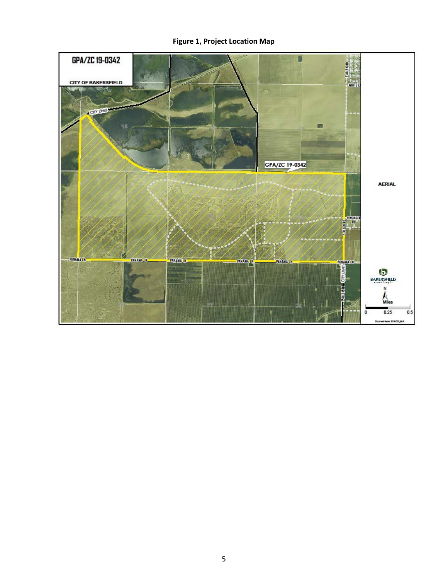# **Figure 1, Project Location Map**

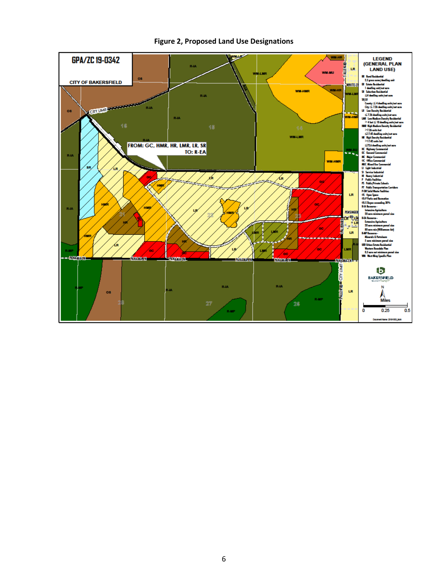

#### **Figure 2, Proposed Land Use Designations**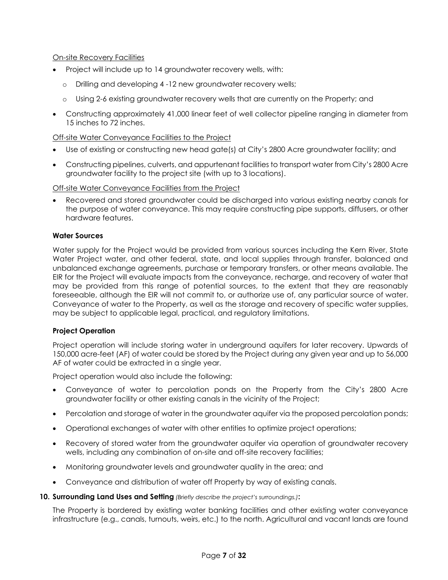On-site Recovery Facilities

- Project will include up to 14 groundwater recovery wells, with:
	- o Drilling and developing 4 -12 new groundwater recovery wells;
	- o Using 2-6 existing groundwater recovery wells that are currently on the Property; and
- Constructing approximately 41,000 linear feet of well collector pipeline ranging in diameter from 15 inches to 72 inches.

### Off-site Water Conveyance Facilities to the Project

- Use of existing or constructing new head gate(s) at City's 2800 Acre groundwater facility; and
- Constructing pipelines, culverts, and appurtenant facilities to transport water from City's 2800 Acre groundwater facility to the project site (with up to 3 locations).

Off-site Water Conveyance Facilities from the Project

• Recovered and stored groundwater could be discharged into various existing nearby canals for the purpose of water conveyance. This may require constructing pipe supports, diffusers, or other hardware features.

#### **Water Sources**

Water supply for the Project would be provided from various sources including the Kern River, State Water Project water, and other federal, state, and local supplies through transfer, balanced and unbalanced exchange agreements, purchase or temporary transfers, or other means available. The EIR for the Project will evaluate impacts from the conveyance, recharge, and recovery of water that may be provided from this range of potential sources, to the extent that they are reasonably foreseeable, although the EIR will not commit to, or authorize use of, any particular source of water. Conveyance of water to the Property, as well as the storage and recovery of specific water supplies, may be subject to applicable legal, practical, and regulatory limitations.

#### **Project Operation**

Project operation will include storing water in underground aquifers for later recovery. Upwards of 150,000 acre-feet (AF) of water could be stored by the Project during any given year and up to 56,000 AF of water could be extracted in a single year.

Project operation would also include the following:

- Conveyance of water to percolation ponds on the Property from the City's 2800 Acre groundwater facility or other existing canals in the vicinity of the Project;
- Percolation and storage of water in the groundwater aquifer via the proposed percolation ponds;
- Operational exchanges of water with other entities to optimize project operations;
- Recovery of stored water from the groundwater aquifer via operation of groundwater recovery wells, including any combination of on-site and off-site recovery facilities;
- Monitoring groundwater levels and groundwater quality in the area; and
- Conveyance and distribution of water off Property by way of existing canals.

#### **10. Surrounding Land Uses and Setting** *(Briefly describe the project's surroundings.)***:**

The Property is bordered by existing water banking facilities and other existing water conveyance infrastructure (e.g., canals, turnouts, weirs, etc.) to the north. Agricultural and vacant lands are found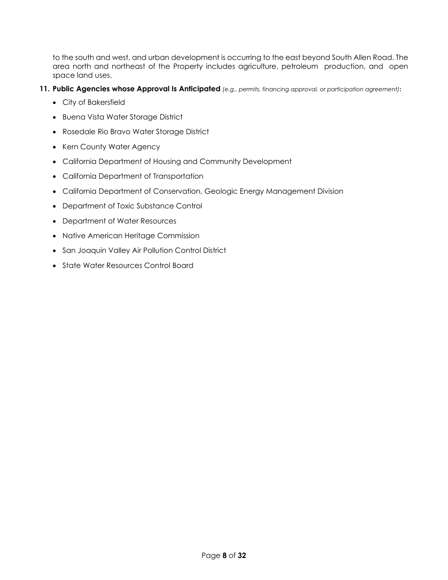to the south and west, and urban development is occurring to the east beyond South Allen Road. The area north and northeast of the Property includes agriculture, petroleum production, and open space land uses.

- **11. Public Agencies whose Approval Is Anticipated** *(e.g., permits, financing approval, or participation agreement)***:**
	- City of Bakersfield
	- Buena Vista Water Storage District
	- Rosedale Rio Bravo Water Storage District
	- Kern County Water Agency
	- California Department of Housing and Community Development
	- California Department of Transportation
	- California Department of Conservation, Geologic Energy Management Division
	- Department of Toxic Substance Control
	- Department of Water Resources
	- Native American Heritage Commission
	- San Joaquin Valley Air Pollution Control District
	- State Water Resources Control Board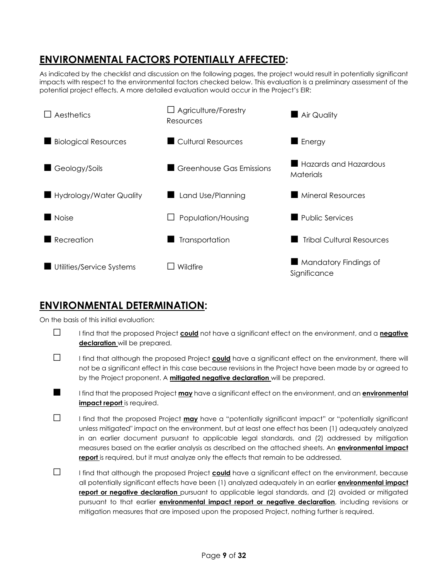# **ENVIRONMENTAL FACTORS POTENTIALLY AFFECTED:**

As indicated by the checklist and discussion on the following pages, the project would result in potentially significant impacts with respect to the environmental factors checked below. This evaluation is a preliminary assessment of the potential project effects. A more detailed evaluation would occur in the Project's EIR:



# **ENVIRONMENTAL DETERMINATION:**

On the basis of this initial evaluation:



- □ I find that the proposed Project **could** not have a significant effect on the environment, and a **negative declaration** will be prepared.
- □ I find that although the proposed Project **could** have a significant effect on the environment, there will not be a significant effect in this case because revisions in the Project have been made by or agreed to by the Project proponent. A **mitigated negative declaration** will be prepared.
- I find that the proposed Project **may** have a significant effect on the environment, and an **environmental impact report** is required.
- □ I find that the proposed Project **may** have a "potentially significant impact" or "potentially significant unless mitigated" impact on the environment, but at least one effect has been (1) adequately analyzed in an earlier document pursuant to applicable legal standards, and (2) addressed by mitigation measures based on the earlier analysis as described on the attached sheets. An **environmental impact report** is required, but it must analyze only the effects that remain to be addressed.
- □ I find that although the proposed Project **could** have a significant effect on the environment, because all potentially significant effects have been (1) analyzed adequately in an earlier **environmental impact report or negative declaration** pursuant to applicable legal standards, and (2) avoided or mitigated pursuant to that earlier **environmental impact report or negative declaration**, including revisions or mitigation measures that are imposed upon the proposed Project, nothing further is required.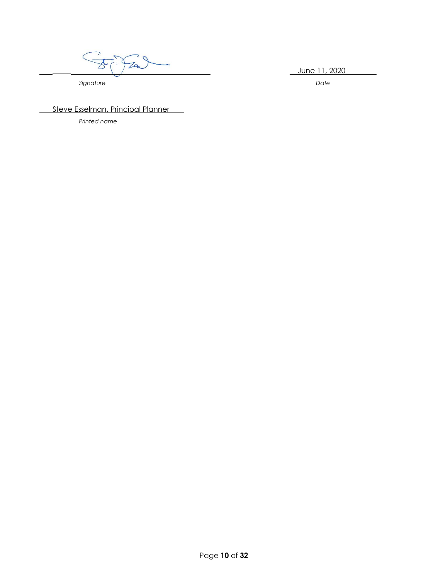$\frac{2020}{\pi}$  June 11, 2020

**Signature** Date

Steve Esselman, Principal Planner

*Printed name*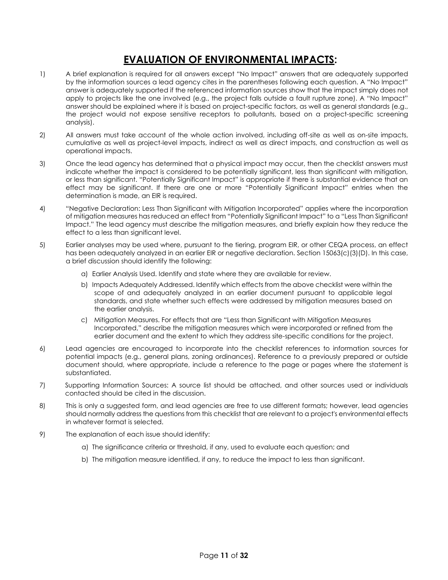# **EVALUATION OF ENVIRONMENTAL IMPACTS:**

- 1) A brief explanation is required for all answers except "No Impact" answers that are adequately supported by the information sources a lead agency cites in the parentheses following each question. A "No Impact" answer is adequately supported if the referenced information sources show that the impact simply does not apply to projects like the one involved (e.g., the project falls outside a fault rupture zone). A "No Impact" answer should be explained where it is based on project-specific factors, as well as general standards (e.g., the project would not expose sensitive receptors to pollutants, based on a project-specific screening analysis).
- 2) All answers must take account of the whole action involved, including off-site as well as on-site impacts, cumulative as well as project-level impacts, indirect as well as direct impacts, and construction as well as operational impacts.
- 3) Once the lead agency has determined that a physical impact may occur, then the checklist answers must indicate whether the impact is considered to be potentially significant, less than significant with mitigation, or less than significant. "Potentially Significant Impact" is appropriate if there is substantial evidence that an effect may be significant. If there are one or more "Potentially Significant Impact" entries when the determination is made, an EIR is required.
- 4) "Negative Declaration: Less Than Significant with Mitigation Incorporated" applies where the incorporation of mitigation measures has reduced an effect from "Potentially Significant Impact" to a "Less Than Significant Impact." The lead agency must describe the mitigation measures, and briefly explain how they reduce the effect to a less than significant level.
- 5) Earlier analyses may be used where, pursuant to the tiering, program EIR, or other CEQA process, an effect has been adequately analyzed in an earlier EIR or negative declaration. Section 15063(c)(3)(D). In this case, a brief discussion should identify the following:
	- a) Earlier Analysis Used. Identify and state where they are available for review.
	- b) Impacts Adequately Addressed. Identify which effects from the above checklist were within the scope of and adequately analyzed in an earlier document pursuant to applicable legal standards, and state whether such effects were addressed by mitigation measures based on the earlier analysis.
	- c) Mitigation Measures. For effects that are "Less than Significant with Mitigation Measures Incorporated," describe the mitigation measures which were incorporated or refined from the earlier document and the extent to which they address site-specific conditions for the project.
- 6) Lead agencies are encouraged to incorporate into the checklist references to information sources for potential impacts (e.g., general plans, zoning ordinances). Reference to a previously prepared or outside document should, where appropriate, include a reference to the page or pages where the statement is substantiated.
- 7) Supporting Information Sources: A source list should be attached, and other sources used or individuals contacted should be cited in the discussion.
- 8) This is only a suggested form, and lead agencies are free to use different formats; however, lead agencies should normally address the questions from this checklist that are relevant to a project's environmental effects in whatever format is selected.
- 9) The explanation of each issue should identify:
	- a) The significance criteria or threshold, if any, used to evaluate each question; and
	- b) The mitigation measure identified, if any, to reduce the impact to less than significant.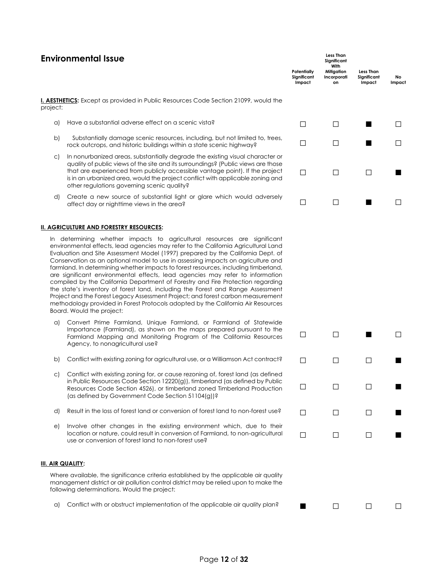# **Environmental Issue**

|          |                                                                                                                                                                                                                                                                                                                                                                                     | Potentially<br>Sianificant<br>Impact | With<br>Mitigation<br>Incorporati<br>on | <b>Less Than</b><br>Significant<br>Impact | No.<br>Impact |
|----------|-------------------------------------------------------------------------------------------------------------------------------------------------------------------------------------------------------------------------------------------------------------------------------------------------------------------------------------------------------------------------------------|--------------------------------------|-----------------------------------------|-------------------------------------------|---------------|
| project: | <b>I. AESTHETICS:</b> Except as provided in Public Resources Code Section 21099, would the                                                                                                                                                                                                                                                                                          |                                      |                                         |                                           |               |
| a)       | Have a substantial adverse effect on a scenic vista?                                                                                                                                                                                                                                                                                                                                |                                      |                                         |                                           |               |
| b)       | Substantially damage scenic resources, including, but not limited to, trees,<br>rock outcrops, and historic buildings within a state scenic highway?                                                                                                                                                                                                                                |                                      |                                         |                                           |               |
| C)       | In nonurbanized areas, substantially degrade the existing visual character or<br>quality of public views of the site and its surroundings? (Public views are those<br>that are experienced from publicly accessible vantage point). If the project<br>is in an urbanized area, would the project conflict with applicable zoning and<br>other regulations governing scenic quality? |                                      |                                         |                                           |               |
| d)       | Create a new source of substantial light or glare which would adversely<br>affect day or nighttime views in the area?                                                                                                                                                                                                                                                               |                                      |                                         |                                           |               |
|          |                                                                                                                                                                                                                                                                                                                                                                                     |                                      |                                         |                                           |               |

**Less Than Significant**

□ □ ■ □

□ □ □ ■

□ □ □ ■

#### **II. AGRICULTURE AND FORESTRY RESOURCES:**

In determining whether impacts to agricultural resources are significant environmental effects, lead agencies may refer to the California Agricultural Land Evaluation and Site Assessment Model (1997) prepared by the California Dept. of Conservation as an optional model to use in assessing impacts on agriculture and farmland. In determining whether impacts to forest resources, including timberland, are significant environmental effects, lead agencies may refer to information compiled by the California Department of Forestry and Fire Protection regarding the state's inventory of forest land, including the Forest and Range Assessment Project and the Forest Legacy Assessment Project; and forest carbon measurement methodology provided in Forest Protocols adopted by the California Air Resources Board. Would the project:

- a) Convert Prime Farmland, Unique Farmland, or Farmland of Statewide Importance (Farmland), as shown on the maps prepared pursuant to the Farmland Mapping and Monitoring Program of the California Resources Agency, to nonagricultural use?
- b) Conflict with existing zoning for agricultural use, or a Williamson Act contract?  $\Box$   $\Box$
- c) Conflict with existing zoning for, or cause rezoning of, forest land (as defined in Public Resources Code Section 12220(g)), timberland (as defined by Public Resources Code Section 4526), or timberland zoned Timberland Production (as defined by Government Code Section 51104(g))?
- d) Result in the loss of forest land or conversion of forest land to non-forest use?  $\Box$
- e) Involve other changes in the existing environment which, due to their location or nature, could result in conversion of Farmland, to non-agricultural use or conversion of forest land to non-forest use?

#### **III. AIR QUALITY:**

Where available, the significance criteria established by the applicable air quality management district or air pollution control district may be relied upon to make the following determinations. Would the project:

|  |  | a) Conflict with or obstruct implementation of the applicable air quality plan? |  |  |  | $\Box$ |
|--|--|---------------------------------------------------------------------------------|--|--|--|--------|
|--|--|---------------------------------------------------------------------------------|--|--|--|--------|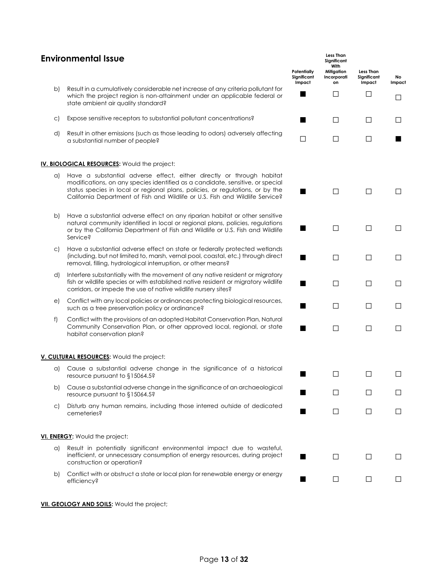| <b>Environmental Issue</b> |                                                                                                                                                                                                                                                                                                                            |                                      | <b>Less Than</b><br>Significant<br>With |                                           |              |  |  |
|----------------------------|----------------------------------------------------------------------------------------------------------------------------------------------------------------------------------------------------------------------------------------------------------------------------------------------------------------------------|--------------------------------------|-----------------------------------------|-------------------------------------------|--------------|--|--|
|                            |                                                                                                                                                                                                                                                                                                                            | Potentially<br>Significant<br>Impact | Mitigation<br>Incorporati<br>on         | <b>Less Than</b><br>Significant<br>Impact | No<br>Impact |  |  |
| b)                         | Result in a cumulatively considerable net increase of any criteria pollutant for<br>which the project region is non-attainment under an applicable federal or<br>state ambient air quality standard?                                                                                                                       | ٠                                    | $\Box$                                  | $\Box$                                    | $\mathsf{L}$ |  |  |
| C)                         | Expose sensitive receptors to substantial pollutant concentrations?                                                                                                                                                                                                                                                        | ٠                                    | $\Box$                                  | $\Box$                                    |              |  |  |
| d)                         | Result in other emissions (such as those leading to odors) adversely affecting<br>a substantial number of people?                                                                                                                                                                                                          | $\Box$                               | $\Box$                                  | П                                         |              |  |  |
|                            | <b>IV. BIOLOGICAL RESOURCES:</b> Would the project:                                                                                                                                                                                                                                                                        |                                      |                                         |                                           |              |  |  |
| a)                         | Have a substantial adverse effect, either directly or through habitat<br>modifications, on any species identified as a candidate, sensitive, or special<br>status species in local or regional plans, policies, or regulations, or by the<br>California Department of Fish and Wildlife or U.S. Fish and Wildlife Service? | ٠                                    | $\Box$                                  | $\perp$                                   | $\mathsf{L}$ |  |  |
| b)                         | Have a substantial adverse effect on any riparian habitat or other sensitive<br>natural community identified in local or regional plans, policies, regulations<br>or by the California Department of Fish and Wildlife or U.S. Fish and Wildlife<br><b>Service?</b>                                                        |                                      | $\Box$                                  | $\Box$                                    | $\Box$       |  |  |
| C)                         | Have a substantial adverse effect on state or federally protected wetlands<br>(including, but not limited to, marsh, vernal pool, coastal, etc.) through direct<br>removal, filling, hydrological interruption, or other means?                                                                                            | ▬                                    | $\Box$                                  | $\Box$                                    | Ш            |  |  |
| d)                         | Interfere substantially with the movement of any native resident or migratory<br>fish or wildlife species or with established native resident or migratory wildlife<br>corridors, or impede the use of native wildlife nursery sites?                                                                                      |                                      | П                                       | П                                         | Ш            |  |  |
| e)                         | Conflict with any local policies or ordinances protecting biological resources,<br>such as a tree preservation policy or ordinance?                                                                                                                                                                                        | ٠                                    | $\Box$                                  | $\Box$                                    | Ш            |  |  |
| f)                         | Conflict with the provisions of an adopted Habitat Conservation Plan, Natural<br>Community Conservation Plan, or other approved local, regional, or state<br>habitat conservation plan?                                                                                                                                    | ■                                    | $\Box$                                  | $\Box$                                    | Ш            |  |  |
|                            | V. CULTURAL RESOURCES: Would the project:                                                                                                                                                                                                                                                                                  |                                      |                                         |                                           |              |  |  |
| a)                         | Cause a substantial adverse change in the significance of a historical<br>resource pursuant to §15064.5?                                                                                                                                                                                                                   |                                      | П                                       | $\Box$                                    |              |  |  |
| b)                         | Cause a substantial adverse change in the significance of an archaeological<br>resource pursuant to §15064.5?                                                                                                                                                                                                              |                                      | $\perp$                                 | $\perp$                                   | $\perp$      |  |  |
| $\mathsf{C}$               | Disturb any human remains, including those interred outside of dedicated<br>cemeteries?                                                                                                                                                                                                                                    | ٠                                    | П                                       | П                                         | П            |  |  |
|                            | VI. ENERGY: Would the project:                                                                                                                                                                                                                                                                                             |                                      |                                         |                                           |              |  |  |
| a)                         | Result in potentially significant environmental impact due to wasteful,<br>inefficient, or unnecessary consumption of energy resources, during project<br>construction or operation?                                                                                                                                       |                                      | П                                       | П                                         | $\mathsf{L}$ |  |  |
| b)                         | Conflict with or obstruct a state or local plan for renewable energy or energy<br>efficiency?                                                                                                                                                                                                                              |                                      | Ш                                       | П                                         |              |  |  |

**VII. GEOLOGY AND SOILS:** Would the project;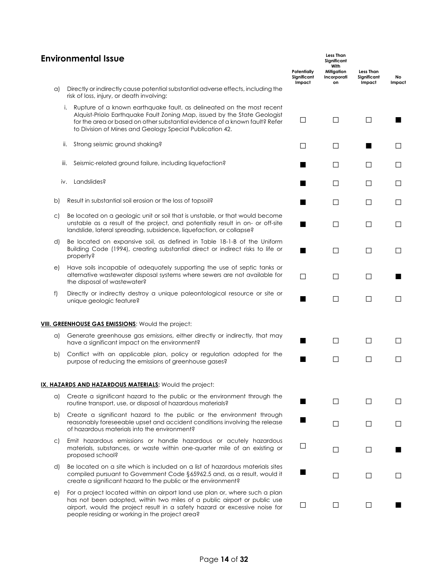|    | <b>Environmental Issue</b><br>Potentially<br>Significant                                                                                                                                                                                                                                            |        |        | Less Than<br>Significant<br>Impact | No<br>Impact |  |
|----|-----------------------------------------------------------------------------------------------------------------------------------------------------------------------------------------------------------------------------------------------------------------------------------------------------|--------|--------|------------------------------------|--------------|--|
| a) | Directly or indirectly cause potential substantial adverse effects, including the<br>risk of loss, injury, or death involving:                                                                                                                                                                      |        |        |                                    |              |  |
|    | Rupture of a known earthquake fault, as delineated on the most recent<br>i.<br>Alquist-Priolo Earthquake Fault Zoning Map, issued by the State Geologist<br>for the area or based on other substantial evidence of a known fault? Refer<br>to Division of Mines and Geology Special Publication 42. | □      | $\Box$ | $\Box$                             |              |  |
|    | Strong seismic ground shaking?<br>ii.                                                                                                                                                                                                                                                               | П      | П      |                                    | ⊔            |  |
|    | Seismic-related ground failure, including liquefaction?<br>iii.                                                                                                                                                                                                                                     |        | П      | П                                  | □            |  |
|    | Landslides?<br>iv.                                                                                                                                                                                                                                                                                  |        | П      | $\perp$                            | Ш            |  |
| b) | Result in substantial soil erosion or the loss of topsoil?                                                                                                                                                                                                                                          |        | $\Box$ | П                                  | $\Box$       |  |
| C) | Be located on a geologic unit or soil that is unstable, or that would become<br>unstable as a result of the project, and potentially result in on- or off-site<br>landslide, lateral spreading, subsidence, liquefaction, or collapse?                                                              |        | П      | П                                  | $\Box$       |  |
| d) | Be located on expansive soil, as defined in Table 18-1-B of the Uniform<br>Building Code (1994), creating substantial direct or indirect risks to life or<br>property?                                                                                                                              |        | П      | П                                  | $\Box$       |  |
| e) | Have soils incapable of adequately supporting the use of septic tanks or<br>alternative wastewater disposal systems where sewers are not available for<br>the disposal of wastewater?                                                                                                               | П      | П      | П                                  |              |  |
| f) | Directly or indirectly destroy a unique paleontological resource or site or<br>unique geologic feature?                                                                                                                                                                                             |        | $\Box$ | П                                  | П            |  |
|    | VIII. GREENHOUSE GAS EMISSIONS: Would the project:                                                                                                                                                                                                                                                  |        |        |                                    |              |  |
| a) | Generate greenhouse gas emissions, either directly or indirectly, that may<br>have a significant impact on the environment?                                                                                                                                                                         |        | П      | П                                  | $\Box$       |  |
| b) | Conflict with an applicable plan, policy or regulation adopted for the<br>purpose of reducing the emissions of greenhouse gases?                                                                                                                                                                    |        | П      | П                                  | П            |  |
|    | IX. HAZARDS AND HAZARDOUS MATERIALS: Would the project:                                                                                                                                                                                                                                             |        |        |                                    |              |  |
| a) | Create a significant hazard to the public or the environment through the<br>routine transport, use, or disposal of hazardous materials?                                                                                                                                                             |        | $\Box$ | П                                  | $\Box$       |  |
| b) | Create a significant hazard to the public or the environment through<br>reasonably foreseeable upset and accident conditions involving the release<br>of hazardous materials into the environment?                                                                                                  |        | $\Box$ | $\Box$                             | ⊔            |  |
| C) | Emit hazardous emissions or handle hazardous or acutely hazardous<br>materials, substances, or waste within one-quarter mile of an existing or<br>proposed school?                                                                                                                                  | □      | $\Box$ | $\Box$                             |              |  |
| d) | Be located on a site which is included on a list of hazardous materials sites<br>compiled pursuant to Government Code §65962.5 and, as a result, would it<br>create a significant hazard to the public or the environment?                                                                          | ٠      | $\Box$ | Ш                                  | Ш            |  |
| e) | For a project located within an airport land use plan or, where such a plan<br>has not been adopted, within two miles of a public airport or public use<br>airport, would the project result in a safety hazard or excessive noise for<br>people residing or working in the project area?           | $\Box$ | □      | $\Box$                             |              |  |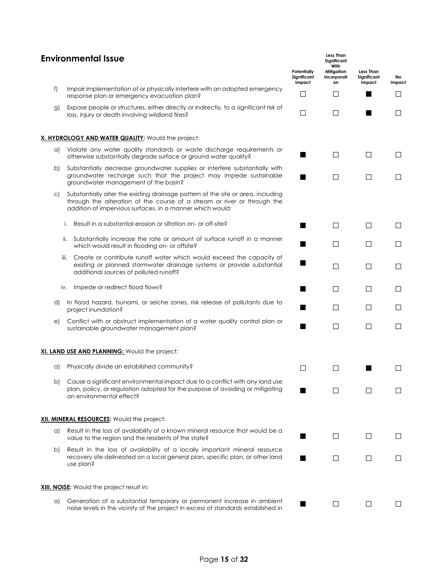# **Environmental Issue**

|              | EIIAII OIIII IEIII UI ISSAE                                                                                                                                                                                               | Potentially<br>Significant<br>Impact | Significant<br>With<br>Mitigation<br>Incorporati<br>on | <b>Less Than</b><br>Significant<br>Impact | No<br>Impact |
|--------------|---------------------------------------------------------------------------------------------------------------------------------------------------------------------------------------------------------------------------|--------------------------------------|--------------------------------------------------------|-------------------------------------------|--------------|
| f)           | Impair implementation of or physically interfere with an adopted emergency<br>response plan or emergency evacuation plan?                                                                                                 | $\Box$                               | $\Box$                                                 |                                           |              |
| g)           | Expose people or structures, either directly or indirectly, to a significant risk of<br>loss, injury or death involving wildland fires?                                                                                   | $\Box$                               | $\Box$                                                 |                                           | $\mathsf{L}$ |
|              | X. HYDROLOGY AND WATER QUALITY: Would the project:                                                                                                                                                                        |                                      |                                                        |                                           |              |
| a)           | Violate any water quality standards or waste discharge requirements or<br>otherwise substantially degrade surface or ground water quality?                                                                                |                                      | $\Box$                                                 | П                                         | $\Box$       |
| b)           | Substantially decrease groundwater supplies or interfere substantially with<br>groundwater recharge such that the project may impede sustainable<br>groundwater management of the basin?                                  |                                      | $\Box$                                                 | $\Box$                                    | $\Box$       |
| $\mathsf{C}$ | Substantially alter the existing drainage pattern of the site or area, including<br>through the alteration of the course of a stream or river or through the<br>addition of impervious surfaces, in a manner which would: |                                      |                                                        |                                           |              |
|              | Result in a substantial erosion or siltation on- or off-site?<br>i.                                                                                                                                                       |                                      | П                                                      | $\Box$                                    | $\Box$       |
|              | Substantially increase the rate or amount of surface runoff in a manner<br>ii.<br>which would result in flooding on- or offsite?                                                                                          |                                      | П                                                      | $\Box$                                    | Ш            |
|              | Create or contribute runoff water which would exceed the capacity of<br>iii.<br>existing or planned stormwater drainage systems or provide substantial<br>additional sources of polluted runoff?                          |                                      | П                                                      | ⊔                                         | $\sqcup$     |
|              | Impede or redirect flood flows?<br>IV.                                                                                                                                                                                    |                                      | П                                                      | $\Box$                                    | $\Box$       |
| d)           | In flood hazard, tsunami, or seiche zones, risk release of pollutants due to<br>project inundation?                                                                                                                       | ■                                    | П                                                      | $\Box$                                    | $\perp$      |
| e)           | Conflict with or obstruct implementation of a water quality control plan or<br>sustainable groundwater management plan?                                                                                                   |                                      | $\Box$                                                 | $\Box$                                    | $\Box$       |
|              | XI. LAND USE AND PLANNING: Would the project:                                                                                                                                                                             |                                      |                                                        |                                           |              |
| a)           | Physically divide an established community?                                                                                                                                                                               | $\Box$                               | $\Box$                                                 |                                           | ΙI           |
| b)           | Cause a significant environmental impact due to a conflict with any land use<br>plan, policy, or regulation adopted for the purpose of avoiding or mitigating<br>an environmental effect?                                 |                                      |                                                        |                                           |              |
|              | XII. MINERAL RESOURCES: Would the project:                                                                                                                                                                                |                                      |                                                        |                                           |              |
| a)           | Result in the loss of availability of a known mineral resource that would be a<br>value to the region and the residents of the state?                                                                                     |                                      | П                                                      | П                                         | $\Box$       |
| b)           | Result in the loss of availability of a locally important mineral resource<br>recovery site delineated on a local general plan, specific plan, or other land<br>use plan?                                                 |                                      | $\perp$                                                | Ш                                         | Ш            |
|              | <b>XIII. NOISE:</b> Would the project result in:                                                                                                                                                                          |                                      |                                                        |                                           |              |
| a)           | Generation of a substantial temporary or permanent increase in ambient<br>noise levels in the vicinity of the project in excess of standards established in                                                               |                                      | $\Box$                                                 | Ш                                         |              |

**Less Than**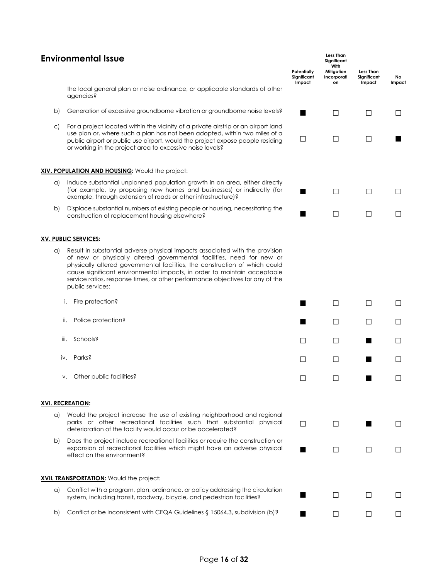| <b>Environmental Issue</b> |                                                                                                                                                                                                                                                                                                                                                                                                                        |              | <b>Less Than</b><br>Significant<br>With<br>Potentially<br>Mitigation<br>Significant<br>Incorporati<br>Significant |         |        |  |  |  |
|----------------------------|------------------------------------------------------------------------------------------------------------------------------------------------------------------------------------------------------------------------------------------------------------------------------------------------------------------------------------------------------------------------------------------------------------------------|--------------|-------------------------------------------------------------------------------------------------------------------|---------|--------|--|--|--|
|                            | the local general plan or noise ordinance, or applicable standards of other<br>agencies?                                                                                                                                                                                                                                                                                                                               | Impact       | on                                                                                                                | Impact  | Impact |  |  |  |
| b)                         | Generation of excessive groundborne vibration or groundborne noise levels?                                                                                                                                                                                                                                                                                                                                             |              | $\Box$                                                                                                            | П       | П      |  |  |  |
| $\mathsf{C}$               | For a project located within the vicinity of a private airstrip or an airport land<br>use plan or, where such a plan has not been adopted, within two miles of a<br>public airport or public use airport, would the project expose people residing<br>or working in the project area to excessive noise levels?                                                                                                        | □            | $\Box$                                                                                                            | П       |        |  |  |  |
|                            | XIV. POPULATION AND HOUSING: Would the project:                                                                                                                                                                                                                                                                                                                                                                        |              |                                                                                                                   |         |        |  |  |  |
| a)                         | Induce substantial unplanned population growth in an area, either directly<br>(for example, by proposing new homes and businesses) or indirectly (for<br>example, through extension of roads or other infrastructure)?                                                                                                                                                                                                 |              | $\Box$                                                                                                            | П       |        |  |  |  |
| b)                         | Displace substantial numbers of existing people or housing, necessitating the<br>construction of replacement housing elsewhere?                                                                                                                                                                                                                                                                                        |              | $\Box$                                                                                                            | $\Box$  | ΙI     |  |  |  |
|                            | <b>XV. PUBLIC SERVICES:</b>                                                                                                                                                                                                                                                                                                                                                                                            |              |                                                                                                                   |         |        |  |  |  |
| a)                         | Result in substantial adverse physical impacts associated with the provision<br>of new or physically altered governmental facilities, need for new or<br>physically altered governmental facilities, the construction of which could<br>cause significant environmental impacts, in order to maintain acceptable<br>service ratios, response times, or other performance objectives for any of the<br>public services: |              |                                                                                                                   |         |        |  |  |  |
|                            | Fire protection?<br>i.                                                                                                                                                                                                                                                                                                                                                                                                 |              | $\Box$                                                                                                            | П       | ΙI     |  |  |  |
| II.                        | Police protection?                                                                                                                                                                                                                                                                                                                                                                                                     |              | $\mathsf{L}$                                                                                                      | ΙI      |        |  |  |  |
| III.                       | Schools?                                                                                                                                                                                                                                                                                                                                                                                                               | П            | $\Box$                                                                                                            |         | ΙI     |  |  |  |
| iv.                        | Parks?                                                                                                                                                                                                                                                                                                                                                                                                                 | $\mathsf{L}$ | $\perp$                                                                                                           |         |        |  |  |  |
|                            | Other public facilities?<br>٧.                                                                                                                                                                                                                                                                                                                                                                                         | $\Box$       | □                                                                                                                 |         |        |  |  |  |
|                            | <b>XVI. RECREATION:</b>                                                                                                                                                                                                                                                                                                                                                                                                |              |                                                                                                                   |         |        |  |  |  |
| a)                         | Would the project increase the use of existing neighborhood and regional<br>parks or other recreational facilities such that substantial physical<br>deterioration of the facility would occur or be accelerated?                                                                                                                                                                                                      | Ш            | $\Box$                                                                                                            |         |        |  |  |  |
| b)                         | Does the project include recreational facilities or require the construction or<br>expansion of recreational facilities which might have an adverse physical<br>effect on the environment?                                                                                                                                                                                                                             |              | $\Box$                                                                                                            | $\perp$ |        |  |  |  |
|                            | XVII. TRANSPORTATION: Would the project:                                                                                                                                                                                                                                                                                                                                                                               |              |                                                                                                                   |         |        |  |  |  |
| a)                         | Conflict with a program, plan, ordinance, or policy addressing the circulation<br>system, including transit, roadway, bicycle, and pedestrian facilities?                                                                                                                                                                                                                                                              |              | $\Box$                                                                                                            | П       |        |  |  |  |
| b)                         | Conflict or be inconsistent with CEQA Guidelines § 15064.3, subdivision (b)?                                                                                                                                                                                                                                                                                                                                           |              | $\Box$                                                                                                            | $\perp$ |        |  |  |  |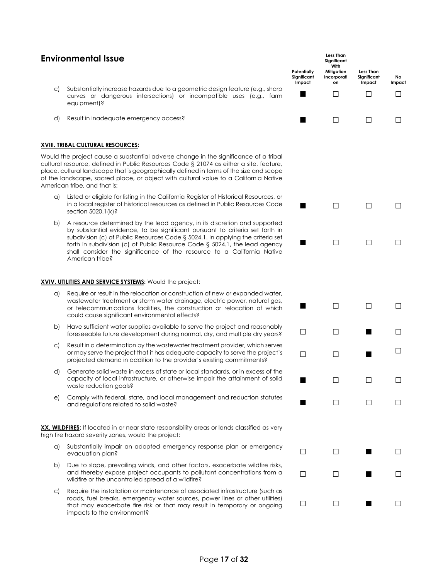# **Environmental Issue**

- c) Substantially increase hazards due to a geometric design feature (e.g. curves or dangerous intersections) or incompatible uses (e.g. equipment)?
- d) Result in inadequate emergency access?

#### **XVIII. TRIBAL CULTURAL RESOURCES:**

Would the project cause a substantial adverse change in the significance of cultural resource, defined in Public Resources Code § 21074 as either a site, place, cultural landscape that is geographically defined in terms of the size an of the landscape, sacred place, or object with cultural value to a California American tribe, and that is:

- a) Listed or eligible for listing in the California Register of Historical Resources in a local register of historical resources as defined in Public Resourc section 5020.1(k)?
- b) A resource determined by the lead agency, in its discretion and su by substantial evidence, to be significant pursuant to criteria set subdivision (c) of Public Resources Code § 5024.1. In applying the cri forth in subdivision (c) of Public Resource Code  $\S$  5024.1, the lead shall consider the significance of the resource to a California American tribe?

#### **XVIV. UTILITIES AND SERVICE SYSTEMS:** Would the project:

- a) Require or result in the relocation or construction of new or expande wastewater treatment or storm water drainage, electric power, natural or telecommunications facilities, the construction or relocation o could cause significant environmental effects?
- b) Have sufficient water supplies available to serve the project and reasonably foreseeable future development during normal, dry, and multiple dr
- c) Result in a determination by the wastewater treatment provider, which or may serve the project that it has adequate capacity to serve the projected demand in addition to the provider's existing commitmer
- d) Generate solid waste in excess of state or local standards, or in exce capacity of local infrastructure, or otherwise impair the attainment waste reduction goals?
- e) Comply with federal, state, and local management and reduction statutes <br>and regulations related to solid waste?

**XX. WILDFIRES:** If located in or near state responsibility areas or lands classified high fire hazard severity zones, would the project:

- a) Substantially impair an adopted emergency response plan or emergency evacuation plan? □ □ □
- b) Due to slope, prevailing winds, and other factors, exacerbate wild and thereby expose project occupants to pollutant concentration wildfire or the uncontrolled spread of a wildfire?
- c) Require the installation or maintenance of associated infrastructure roads, fuel breaks, emergency water sources, power lines or other that may exacerbate fire risk or that may result in temporary or ongoing impacts to the environment?

|                                                            | Potentially<br>Significant<br>Impact | Less Than<br>Significant<br>With<br>Mitigation<br>Incorporati<br>on | Less Than<br>Significant<br>Impact | No<br>Impact |
|------------------------------------------------------------|--------------------------------------|---------------------------------------------------------------------|------------------------------------|--------------|
| g., sharp<br>farm<br>g.,                                   |                                      |                                                                     |                                    |              |
|                                                            |                                      |                                                                     |                                    |              |
| <sub>of a tribal</sub><br>feature,<br>nd scope<br>a Native |                                      |                                                                     |                                    |              |
| urces, or<br>es Code                                       |                                      | - 1                                                                 |                                    | I<br>- 1     |
| pported<br>t forth in<br>riteria set<br>agency<br>a Native |                                      | - 1                                                                 | Ι٦                                 | I<br>- 1     |
| d water,<br>ural gas,<br>of which                          |                                      | $\mathsf{L}$                                                        | Гι                                 | $\Box$       |
| asonably<br>y years?                                       |                                      |                                                                     |                                    |              |
| ch serves<br>project's<br>nts?                             |                                      |                                                                     |                                    |              |
| ess of the<br>t of solid                                   |                                      |                                                                     |                                    |              |
| statutes                                                   |                                      |                                                                     |                                    |              |
| d as very                                                  |                                      |                                                                     |                                    |              |
| ergency                                                    | $\sqcup$                             | ΙI                                                                  |                                    | ΙI           |
| dfire risks,<br>is from a                                  | - 1                                  | ⊔                                                                   |                                    |              |
| (such as<br>r utilities)<br>ongoing                        | . I                                  | $\Box$                                                              |                                    |              |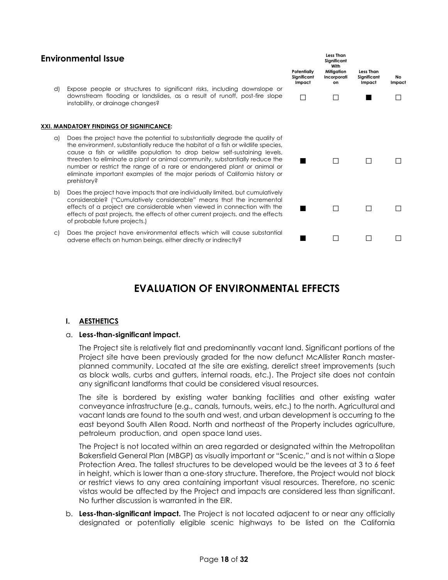| <b>Environmental Issue</b> |  |                                                                                                                                                                                                                                                                                                                                                                                                                                                                                                     |   | <b>Less Than</b><br>Significant<br>With |                                    |                     |  |
|----------------------------|--|-----------------------------------------------------------------------------------------------------------------------------------------------------------------------------------------------------------------------------------------------------------------------------------------------------------------------------------------------------------------------------------------------------------------------------------------------------------------------------------------------------|---|-----------------------------------------|------------------------------------|---------------------|--|
|                            |  |                                                                                                                                                                                                                                                                                                                                                                                                                                                                                                     |   | Mitigation<br>Incorporati<br>on         | Less Than<br>Significant<br>Impact | <b>No</b><br>Impact |  |
| d)                         |  | Expose people or structures to significant risks, including downslope or<br>downstream flooding or landslides, as a result of runoff, post-fire slope<br>instability, or drainage changes?                                                                                                                                                                                                                                                                                                          | П |                                         |                                    |                     |  |
|                            |  | XXI. MANDATORY FINDINGS OF SIGNIFICANCE:                                                                                                                                                                                                                                                                                                                                                                                                                                                            |   |                                         |                                    |                     |  |
| a)                         |  | Does the project have the potential to substantially degrade the quality of<br>the environment, substantially reduce the habitat of a fish or wildlife species,<br>cause a fish or wildlife population to drop below self-sustaining levels,<br>threaten to eliminate a plant or animal community, substantially reduce the<br>number or restrict the range of a rare or endangered plant or animal or<br>eliminate important examples of the major periods of California history or<br>prehistory? |   |                                         |                                    |                     |  |
| b)                         |  | Does the project have impacts that are individually limited, but cumulatively<br>considerable? ("Cumulatively considerable" means that the incremental<br>effects of a project are considerable when viewed in connection with the<br>effects of past projects, the effects of other current projects, and the effects<br>of probable future projects.)                                                                                                                                             |   |                                         |                                    |                     |  |

c) Does the project have environmental effects which will cause substantial ■ □ □ □ □<br>adverse effects on human beings, either directly or indirectly? ■ □ □ □

# **EVALUATION OF ENVIRONMENTAL EFFECTS**

#### **I. AESTHETICS**

#### a. **Less-than-significant impact.**

The Project site is relatively flat and predominantly vacant land. Significant portions of the Project site have been previously graded for the now defunct McAllister Ranch masterplanned community. Located at the site are existing, derelict street improvements (such as block walls, curbs and gutters, internal roads, etc.). The Project site does not contain any significant landforms that could be considered visual resources.

The site is bordered by existing water banking facilities and other existing water conveyance infrastructure (e.g., canals, turnouts, weirs, etc.) to the north. Agricultural and vacant lands are found to the south and west, and urban development is occurring to the east beyond South Allen Road. North and northeast of the Property includes agriculture, petroleum production, and open space land uses.

The Project is not located within an area regarded or designated within the Metropolitan Bakersfield General Plan (MBGP) as visually important or "Scenic," and is not within a Slope Protection Area. The tallest structures to be developed would be the levees at 3 to 6 feet in height, which is lower than a one-story structure. Therefore, the Project would not block or restrict views to any area containing important visual resources. Therefore, no scenic vistas would be affected by the Project and impacts are considered less than significant. No further discussion is warranted in the EIR.

b. **Less-than-significant impact.** The Project is not located adjacent to or near any officially designated or potentially eligible scenic highways to be listed on the California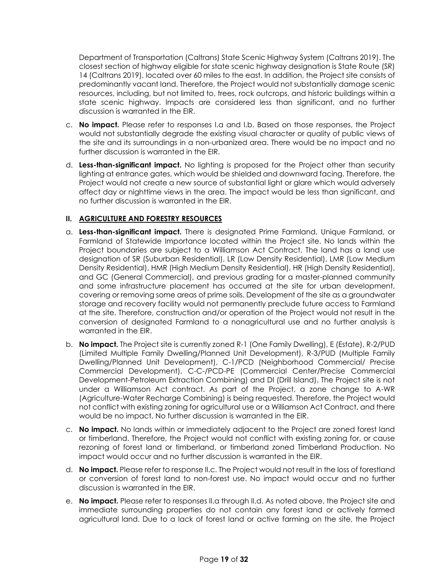Department of Transportation (Caltrans) State Scenic Highway System (Caltrans 2019). The closest section of highway eligible for state scenic highway designation is State Route (SR) 14 (Caltrans 2019), located over 60 miles to the east. In addition, the Project site consists of predominantly vacant land. Therefore, the Project would not substantially damage scenic resources, including, but not limited to, trees, rock outcrops, and historic buildings within a state scenic highway. Impacts are considered less than significant, and no further discussion is warranted in the EIR.

- c. **No impact.** Please refer to responses I.a and I.b. Based on those responses, the Project would not substantially degrade the existing visual character or quality of public views of the site and its surroundings in a non-urbanized area. There would be no impact and no further discussion is warranted in the EIR.
- d. **Less-than-significant impact.** No lighting is proposed for the Project other than security lighting at entrance gates, which would be shielded and downward facing. Therefore, the Project would not create a new source of substantial light or glare which would adversely affect day or nighttime views in the area. The impact would be less than significant, and no further discussion is warranted in the EIR.

### **II. AGRICULTURE AND FORESTRY RESOURCES**

- a. **Less-than-significant impact.** There is designated Prime Farmland, Unique Farmland, or Farmland of Statewide Importance located within the Project site. No lands within the Project boundaries are subject to a Williamson Act Contract. The land has a land use designation of SR (Suburban Residential), LR (Low Density Residential), LMR (Low Medium Density Residential), HMR (High Medium Density Residential), HR (High Density Residential), and GC (General Commercial), and previous grading for a master-planned community and some infrastructure placement has occurred at the site for urban development, covering or removing some areas of prime soils. Development of the site as a groundwater storage and recovery facility would not permanently preclude future access to Farmland at the site. Therefore, construction and/or operation of the Project would not result in the conversion of designated Farmland to a nonagricultural use and no further analysis is warranted in the EIR.
- b. **No impact.** The Project site is currently zoned R-1 (One Family Dwelling), E (Estate), R-2/PUD (Limited Multiple Family Dwelling/Planned Unit Development), R-3/PUD (Multiple Family Dwelling/Planned Unit Development), C-1/PCD (Neighborhood Commercial/ Precise Commercial Development), C-C-/PCD-PE (Commercial Center/Precise Commercial Development-Petroleum Extraction Combining) and DI (Drill Island). The Project site is not under a Williamson Act contract. As part of the Project, a zone change to A-WR (Agriculture-Water Recharge Combining) is being requested. Therefore, the Project would not conflict with existing zoning for agricultural use or a Williamson Act Contract, and there would be no impact. No further discussion is warranted in the EIR.
- c. **No impact.** No lands within or immediately adjacent to the Project are zoned forest land or timberland. Therefore, the Project would not conflict with existing zoning for, or cause rezoning of forest land or timberland, or timberland zoned Timberland Production. No impact would occur and no further discussion is warranted in the EIR.
- d. **No impact.** Please refer to response II.c. The Project would not result in the loss of forestland or conversion of forest land to non-forest use. No impact would occur and no further discussion is warranted in the EIR.
- e. **No impact.** Please refer to responses II.a through II.d. As noted above, the Project site and immediate surrounding properties do not contain any forest land or actively farmed agricultural land. Due to a lack of forest land or active farming on the site, the Project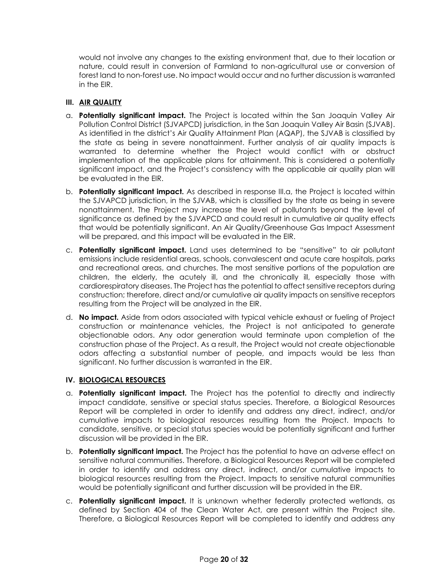would not involve any changes to the existing environment that, due to their location or nature, could result in conversion of Farmland to non-agricultural use or conversion of forest land to non-forest use. No impact would occur and no further discussion is warranted in the EIR.

## **III. AIR QUALITY**

- a. **Potentially significant impact.** The Project is located within the San Joaquin Valley Air Pollution Control District (SJVAPCD) jurisdiction, in the San Joaquin Valley Air Basin (SJVAB). As identified in the district's Air Quality Attainment Plan (AQAP), the SJVAB is classified by the state as being in severe nonattainment. Further analysis of air quality impacts is warranted to determine whether the Project would conflict with or obstruct implementation of the applicable plans for attainment. This is considered a potentially significant impact, and the Project's consistency with the applicable air quality plan will be evaluated in the EIR.
- b. **Potentially significant impact.** As described in response III.a, the Project is located within the SJVAPCD jurisdiction, in the SJVAB, which is classified by the state as being in severe nonattainment. The Project may increase the level of pollutants beyond the level of significance as defined by the SJVAPCD and could result in cumulative air quality effects that would be potentially significant. An Air Quality/Greenhouse Gas Impact Assessment will be prepared, and this impact will be evaluated in the EIR.
- c. **Potentially significant impact.** Land uses determined to be "sensitive" to air pollutant emissions include residential areas, schools, convalescent and acute care hospitals, parks and recreational areas, and churches. The most sensitive portions of the population are children, the elderly, the acutely ill, and the chronically ill, especially those with cardiorespiratory diseases. The Project has the potential to affect sensitive receptors during construction; therefore, direct and/or cumulative air quality impacts on sensitive receptors resulting from the Project will be analyzed in the EIR.
- d. **No impact.** Aside from odors associated with typical vehicle exhaust or fueling of Project construction or maintenance vehicles, the Project is not anticipated to generate objectionable odors. Any odor generation would terminate upon completion of the construction phase of the Project. As a result, the Project would not create objectionable odors affecting a substantial number of people, and impacts would be less than significant. No further discussion is warranted in the EIR.

# **IV. BIOLOGICAL RESOURCES**

- a. **Potentially significant impact.** The Project has the potential to directly and indirectly impact candidate, sensitive or special status species. Therefore, a Biological Resources Report will be completed in order to identify and address any direct, indirect, and/or cumulative impacts to biological resources resulting from the Project. Impacts to candidate, sensitive, or special status species would be potentially significant and further discussion will be provided in the EIR.
- b. **Potentially significant impact.** The Project has the potential to have an adverse effect on sensitive natural communities. Therefore, a Biological Resources Report will be completed in order to identify and address any direct, indirect, and/or cumulative impacts to biological resources resulting from the Project. Impacts to sensitive natural communities would be potentially significant and further discussion will be provided in the EIR.
- c. **Potentially significant impact.** It is unknown whether federally protected wetlands, as defined by Section 404 of the Clean Water Act, are present within the Project site. Therefore, a Biological Resources Report will be completed to identify and address any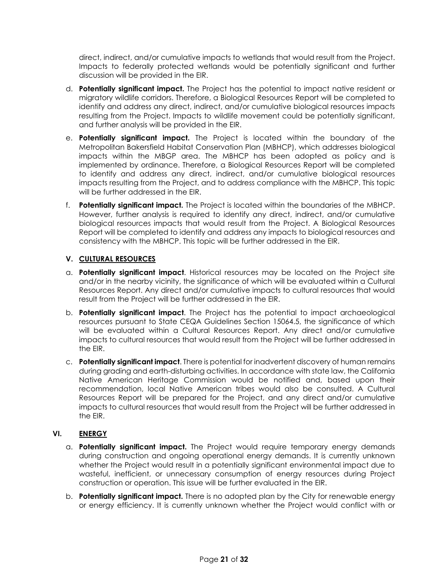direct, indirect, and/or cumulative impacts to wetlands that would result from the Project. Impacts to federally protected wetlands would be potentially significant and further discussion will be provided in the EIR.

- d. **Potentially significant impact.** The Project has the potential to impact native resident or migratory wildlife corridors. Therefore, a Biological Resources Report will be completed to identify and address any direct, indirect, and/or cumulative biological resources impacts resulting from the Project. Impacts to wildlife movement could be potentially significant, and further analysis will be provided in the EIR.
- e. **Potentially significant impact.** The Project is located within the boundary of the Metropolitan Bakersfield Habitat Conservation Plan (MBHCP), which addresses biological impacts within the MBGP area. The MBHCP has been adopted as policy and is implemented by ordinance. Therefore, a Biological Resources Report will be completed to identify and address any direct, indirect, and/or cumulative biological resources impacts resulting from the Project, and to address compliance with the MBHCP. This topic will be further addressed in the EIR.
- f. **Potentially significant impact.** The Project is located within the boundaries of the MBHCP. However, further analysis is required to identify any direct, indirect, and/or cumulative biological resources impacts that would result from the Project. A Biological Resources Report will be completed to identify and address any impacts to biological resources and consistency with the MBHCP. This topic will be further addressed in the EIR.

# **V. CULTURAL RESOURCES**

- a. **Potentially significant impact**. Historical resources may be located on the Project site and/or in the nearby vicinity, the significance of which will be evaluated within a Cultural Resources Report. Any direct and/or cumulative impacts to cultural resources that would result from the Project will be further addressed in the EIR.
- b. **Potentially significant impact**. The Project has the potential to impact archaeological resources pursuant to State CEQA Guidelines Section 15064.5, the significance of which will be evaluated within a Cultural Resources Report. Any direct and/or cumulative impacts to cultural resources that would result from the Project will be further addressed in the EIR.
- c. **Potentially significant impact**. There is potential for inadvertent discovery of human remains during grading and earth-disturbing activities. In accordance with state law, the California Native American Heritage Commission would be notified and, based upon their recommendation, local Native American tribes would also be consulted. A Cultural Resources Report will be prepared for the Project, and any direct and/or cumulative impacts to cultural resources that would result from the Project will be further addressed in the EIR.

# **VI. ENERGY**

- a. **Potentially significant impact.** The Project would require temporary energy demands during construction and ongoing operational energy demands. It is currently unknown whether the Project would result in a potentially significant environmental impact due to wasteful, inefficient, or unnecessary consumption of energy resources during Project construction or operation. This issue will be further evaluated in the EIR.
- b. **Potentially significant impact.** There is no adopted plan by the City for renewable energy or energy efficiency. It is currently unknown whether the Project would conflict with or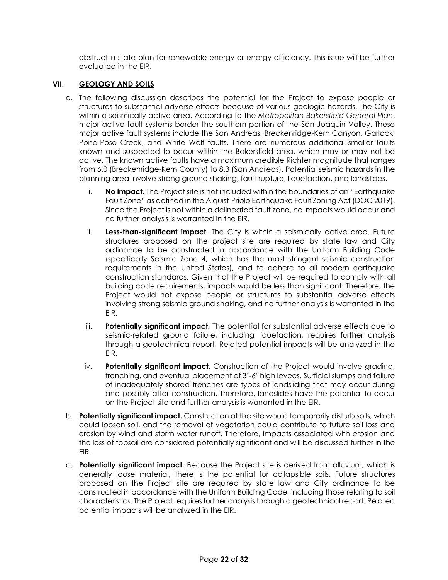obstruct a state plan for renewable energy or energy efficiency. This issue will be further evaluated in the EIR.

### **VII. GEOLOGY AND SOILS**

- a. The following discussion describes the potential for the Project to expose people or structures to substantial adverse effects because of various geologic hazards. The City is within a seismically active area. According to the *Metropolitan Bakersfield General Plan*, major active fault systems border the southern portion of the San Joaquin Valley. These major active fault systems include the San Andreas, Breckenridge-Kern Canyon, Garlock, Pond-Poso Creek, and White Wolf faults. There are numerous additional smaller faults known and suspected to occur within the Bakersfield area, which may or may not be active. The known active faults have a maximum credible Richter magnitude that ranges from 6.0 (Breckenridge-Kern County) to 8.3 (San Andreas). Potential seismic hazards in the planning area involve strong ground shaking, fault rupture, liquefaction, and landslides.
	- i. **No impact.** The Project site is not included within the boundaries of an "Earthquake Fault Zone" as defined in the Alquist-Priolo Earthquake Fault Zoning Act (DOC 2019). Since the Project is not within a delineated fault zone, no impacts would occur and no further analysis is warranted in the EIR.
	- ii. **Less-than-significant impact.** The City is within a seismically active area. Future structures proposed on the project site are required by state law and City ordinance to be constructed in accordance with the Uniform Building Code (specifically Seismic Zone 4, which has the most stringent seismic construction requirements in the United States), and to adhere to all modern earthquake construction standards. Given that the Project will be required to comply with all building code requirements, impacts would be less than significant. Therefore, the Project would not expose people or structures to substantial adverse effects involving strong seismic ground shaking, and no further analysis is warranted in the EIR.
	- iii. **Potentially significant impact.** The potential for substantial adverse effects due to seismic-related ground failure, including liquefaction, requires further analysis through a geotechnical report. Related potential impacts will be analyzed in the EIR.
	- iv. **Potentially significant impact.** Construction of the Project would involve grading, trenching, and eventual placement of 3'-6' high levees. Surficial slumps and failure of inadequately shored trenches are types of landsliding that may occur during and possibly after construction. Therefore, landslides have the potential to occur on the Project site and further analysis is warranted in the EIR.
- b. **Potentially significant impact.** Construction of the site would temporarily disturb soils, which could loosen soil, and the removal of vegetation could contribute to future soil loss and erosion by wind and storm water runoff. Therefore, impacts associated with erosion and the loss of topsoil are considered potentially significant and will be discussed further in the EIR.
- c. **Potentially significant impact.** Because the Project site is derived from alluvium, which is generally loose material, there is the potential for collapsible soils. Future structures proposed on the Project site are required by state law and City ordinance to be constructed in accordance with the Uniform Building Code, including those relating to soil characteristics. The Project requires further analysis through a geotechnical report. Related potential impacts will be analyzed in the EIR.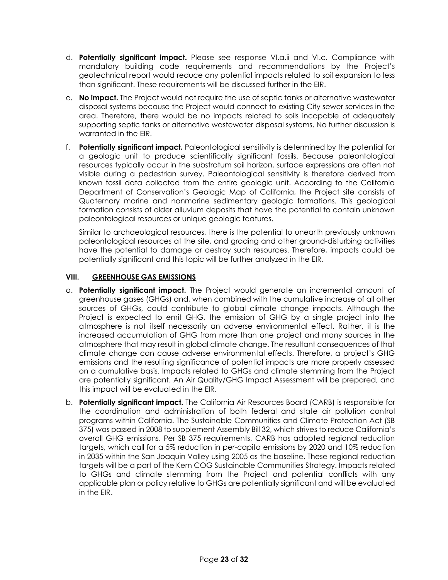- d. **Potentially significant impact.** Please see response VI.a.ii and VI.c. Compliance with mandatory building code requirements and recommendations by the Project's geotechnical report would reduce any potential impacts related to soil expansion to less than significant. These requirements will be discussed further in the EIR.
- e. **No impact.** The Project would not require the use of septic tanks or alternative wastewater disposal systems because the Project would connect to existing City sewer services in the area. Therefore, there would be no impacts related to soils incapable of adequately supporting septic tanks or alternative wastewater disposal systems. No further discussion is warranted in the EIR.
- f. **Potentially significant impact.** Paleontological sensitivity is determined by the potential for a geologic unit to produce scientifically significant fossils. Because paleontological resources typically occur in the substratum soil horizon, surface expressions are often not visible during a pedestrian survey. Paleontological sensitivity is therefore derived from known fossil data collected from the entire geologic unit. According to the California Department of Conservation's Geologic Map of California, the Project site consists of Quaternary marine and nonmarine sedimentary geologic formations. This geological formation consists of older alluvium deposits that have the potential to contain unknown paleontological resources or unique geologic features.

Similar to archaeological resources, there is the potential to unearth previously unknown paleontological resources at the site, and grading and other ground-disturbing activities have the potential to damage or destroy such resources. Therefore, impacts could be potentially significant and this topic will be further analyzed in the EIR.

# **VIII. GREENHOUSE GAS EMISSIONS**

- a. **Potentially significant impact.** The Project would generate an incremental amount of greenhouse gases (GHGs) and, when combined with the cumulative increase of all other sources of GHGs, could contribute to global climate change impacts. Although the Project is expected to emit GHG, the emission of GHG by a single project into the atmosphere is not itself necessarily an adverse environmental effect. Rather, it is the increased accumulation of GHG from more than one project and many sources in the atmosphere that may result in global climate change. The resultant consequences of that climate change can cause adverse environmental effects. Therefore, a project's GHG emissions and the resulting significance of potential impacts are more properly assessed on a cumulative basis. Impacts related to GHGs and climate stemming from the Project are potentially significant. An Air Quality/GHG Impact Assessment will be prepared, and this impact will be evaluated in the EIR.
- b. **Potentially significant impact.** The California Air Resources Board (CARB) is responsible for the coordination and administration of both federal and state air pollution control programs within California. The Sustainable Communities and Climate Protection Act (SB 375) was passed in 2008 to supplement Assembly Bill 32, which strives to reduce California's overall GHG emissions. Per SB 375 requirements, CARB has adopted regional reduction targets, which call for a 5% reduction in per-capita emissions by 2020 and 10% reduction in 2035 within the San Joaquin Valley using 2005 as the baseline. These regional reduction targets will be a part of the Kern COG Sustainable Communities Strategy. Impacts related to GHGs and climate stemming from the Project and potential conflicts with any applicable plan or policy relative to GHGs are potentially significant and will be evaluated in the EIR.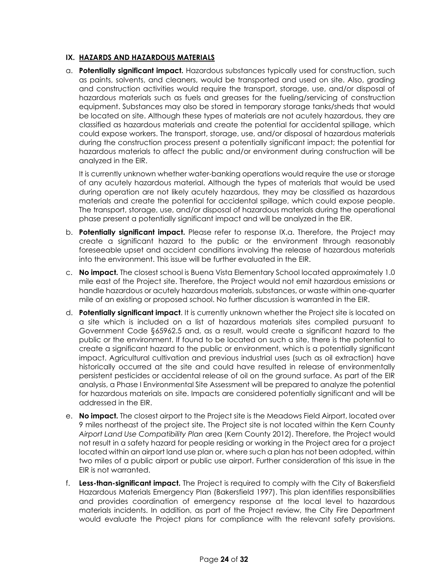#### **IX. HAZARDS AND HAZARDOUS MATERIALS**

a. **Potentially significant impact.** Hazardous substances typically used for construction, such as paints, solvents, and cleaners, would be transported and used on site. Also, grading and construction activities would require the transport, storage, use, and/or disposal of hazardous materials such as fuels and greases for the fueling/servicing of construction equipment. Substances may also be stored in temporary storage tanks/sheds that would be located on site. Although these types of materials are not acutely hazardous, they are classified as hazardous materials and create the potential for accidental spillage, which could expose workers. The transport, storage, use, and/or disposal of hazardous materials during the construction process present a potentially significant impact; the potential for hazardous materials to affect the public and/or environment during construction will be analyzed in the EIR.

It is currently unknown whether water-banking operations would require the use or storage of any acutely hazardous material. Although the types of materials that would be used during operation are not likely acutely hazardous, they may be classified as hazardous materials and create the potential for accidental spillage, which could expose people. The transport, storage, use, and/or disposal of hazardous materials during the operational phase present a potentially significant impact and will be analyzed in the EIR.

- b. **Potentially significant impact.** Please refer to response IX.a. Therefore, the Project may create a significant hazard to the public or the environment through reasonably foreseeable upset and accident conditions involving the release of hazardous materials into the environment. This issue will be further evaluated in the EIR.
- c. **No impact.** The closest school is Buena Vista Elementary School located approximately 1.0 mile east of the Project site. Therefore, the Project would not emit hazardous emissions or handle hazardous or acutely hazardous materials, substances, or waste within one-quarter mile of an existing or proposed school. No further discussion is warranted in the EIR.
- d. **Potentially significant impact**. It is currently unknown whether the Project site is located on a site which is included on a list of hazardous materials sites compiled pursuant to Government Code §65962.5 and, as a result, would create a significant hazard to the public or the environment. If found to be located on such a site, there is the potential to create a significant hazard to the public or environment, which is a potentially significant impact. Agricultural cultivation and previous industrial uses (such as oil extraction) have historically occurred at the site and could have resulted in release of environmentally persistent pesticides or accidental release of oil on the ground surface. As part of the EIR analysis, a Phase I Environmental Site Assessment will be prepared to analyze the potential for hazardous materials on site. Impacts are considered potentially significant and will be addressed in the EIR.
- e. **No impact.** The closest airport to the Project site is the Meadows Field Airport, located over 9 miles northeast of the project site. The Project site is not located within the Kern County *Airport Land Use Compatibility Plan* area (Kern County 2012). Therefore, the Project would not result in a safety hazard for people residing or working in the Project area for a project located within an airport land use plan or, where such a plan has not been adopted, within two miles of a public airport or public use airport. Further consideration of this issue in the EIR is not warranted.
- f. **Less-than-significant impact.** The Project is required to comply with the City of Bakersfield Hazardous Materials Emergency Plan (Bakersfield 1997). This plan identifies responsibilities and provides coordination of emergency response at the local level to hazardous materials incidents. In addition, as part of the Project review, the City Fire Department would evaluate the Project plans for compliance with the relevant safety provisions.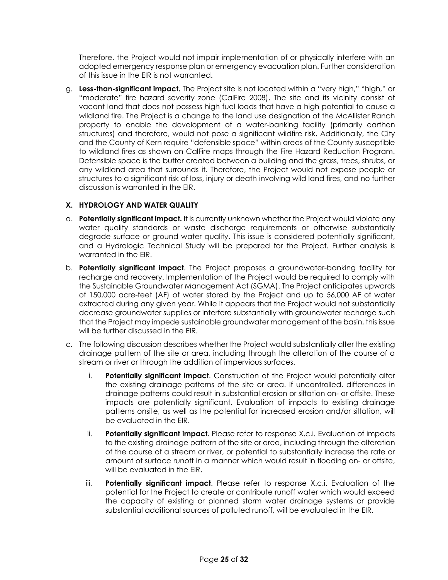Therefore, the Project would not impair implementation of or physically interfere with an adopted emergency response plan or emergency evacuation plan. Further consideration of this issue in the EIR is not warranted.

g. **Less-than-significant impact.** The Project site is not located within a "very high," "high," or "moderate" fire hazard severity zone (CalFire 2008). The site and its vicinity consist of vacant land that does not possess high fuel loads that have a high potential to cause a wildland fire. The Project is a change to the land use designation of the McAllister Ranch property to enable the development of a water-banking facility (primarily earthen structures) and therefore, would not pose a significant wildfire risk. Additionally, the City and the County of Kern require "defensible space" within areas of the County susceptible to wildland fires as shown on CalFire maps through the Fire Hazard Reduction Program. Defensible space is the buffer created between a building and the grass, trees, shrubs, or any wildland area that surrounds it. Therefore, the Project would not expose people or structures to a significant risk of loss, injury or death involving wild land fires, and no further discussion is warranted in the EIR.

# **X. HYDROLOGY AND WATER QUALITY**

- a. **Potentially significant impact.** It is currently unknown whether the Project would violate any water quality standards or waste discharge requirements or otherwise substantially degrade surface or ground water quality. This issue is considered potentially significant, and a Hydrologic Technical Study will be prepared for the Project. Further analysis is warranted in the EIR.
- b. **Potentially significant impact**. The Project proposes a groundwater-banking facility for recharge and recovery. Implementation of the Project would be required to comply with the Sustainable Groundwater Management Act (SGMA). The Project anticipates upwards of 150,000 acre-feet (AF) of water stored by the Project and up to 56,000 AF of water extracted during any given year. While it appears that the Project would not substantially decrease groundwater supplies or interfere substantially with groundwater recharge such that the Project may impede sustainable groundwater management of the basin, this issue will be further discussed in the EIR.
- c. The following discussion describes whether the Project would substantially alter the existing drainage pattern of the site or area, including through the alteration of the course of a stream or river or through the addition of impervious surfaces.
	- i. **Potentially significant impact**. Construction of the Project would potentially alter the existing drainage patterns of the site or area. If uncontrolled, differences in drainage patterns could result in substantial erosion or siltation on- or offsite. These impacts are potentially significant. Evaluation of impacts to existing drainage patterns onsite, as well as the potential for increased erosion and/or siltation, will be evaluated in the EIR.
	- ii. **Potentially significant impact**. Please refer to response X.c.i. Evaluation of impacts to the existing drainage pattern of the site or area, including through the alteration of the course of a stream or river, or potential to substantially increase the rate or amount of surface runoff in a manner which would result in flooding on- or offsite, will be evaluated in the EIR.
	- iii. **Potentially significant impact**. Please refer to response X.c.i. Evaluation of the potential for the Project to create or contribute runoff water which would exceed the capacity of existing or planned storm water drainage systems or provide substantial additional sources of polluted runoff, will be evaluated in the EIR.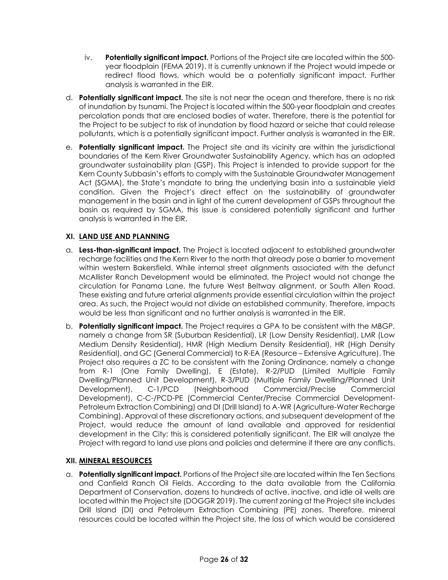- iv. **Potentially significant impact.** Portions of the Project site are located within the 500 year floodplain (FEMA 2019). It is currently unknown if the Project would impede or redirect flood flows, which would be a potentially significant impact. Further analysis is warranted in the EIR.
- d. **Potentially significant impact.** The site is not near the ocean and therefore, there is no risk of inundation by tsunami. The Project is located within the 500-year floodplain and creates percolation ponds that are enclosed bodies of water. Therefore, there is the potential for the Project to be subject to risk of inundation by flood hazard or seiche that could release pollutants, which is a potentially significant impact. Further analysis is warranted in the EIR.
- e. **Potentially significant impact.** The Project site and its vicinity are within the jurisdictional boundaries of the Kern River Groundwater Sustainability Agency, which has an adopted groundwater sustainability plan (GSP). This Project is intended to provide support for the Kern County Subbasin's efforts to comply with the Sustainable Groundwater Management Act (SGMA), the State's mandate to bring the underlying basin into a sustainable yield condition. Given the Project's direct effect on the sustainability of groundwater management in the basin and in light of the current development of GSPs throughout the basin as required by SGMA, this issue is considered potentially significant and further analysis is warranted in the EIR.

### **XI. LAND USE AND PLANNING**

- a. **Less-than-significant impact.** The Project is located adjacent to established groundwater recharge facilities and the Kern River to the north that already pose a barrier to movement within western Bakersfield. While internal street alignments associated with the defunct McAllister Ranch Development would be eliminated, the Project would not change the circulation for Panama Lane, the future West Beltway alignment, or South Allen Road. These existing and future arterial alignments provide essential circulation within the project area. As such, the Project would not divide an established community. Therefore, impacts would be less than significant and no further analysis is warranted in the EIR.
- b. **Potentially significant impact.** The Project requires a GPA to be consistent with the MBGP, namely a change from SR (Suburban Residential), LR (Low Density Residential), LMR (Low Medium Density Residential), HMR (High Medium Density Residential), HR (High Density Residential), and GC (General Commercial) to R-EA (Resource – Extensive Agriculture). The Project also requires a ZC to be consistent with the Zoning Ordinance, namely a change from R-1 (One Family Dwelling), E (Estate), R-2/PUD (Limited Multiple Family Dwelling/Planned Unit Development), R-3/PUD (Multiple Family Dwelling/Planned Unit Development), C-1/PCD (Neighborhood Commercial/Precise Commercial Development), C-C-/PCD-PE (Commercial Center/Precise Commercial Development-Petroleum Extraction Combining) and DI (Drill Island) to A-WR (Agriculture-Water Recharge Combining). Approval of these discretionary actions, and subsequent development of the Project, would reduce the amount of land available and approved for residential development in the City; this is considered potentially significant. The EIR will analyze the Project with regard to land use plans and policies and determine if there are any conflicts.

#### **XII. MINERAL RESOURCES**

a. **Potentially significant impact.** Portions of the Project site are located within the Ten Sections and Canfield Ranch Oil Fields. According to the data available from the California Department of Conservation, dozens to hundreds of active, inactive, and idle oil wells are located within the Project site (DOGGR 2019). The current zoning at the Project site includes Drill Island (DI) and Petroleum Extraction Combining (PE) zones. Therefore, mineral resources could be located within the Project site, the loss of which would be considered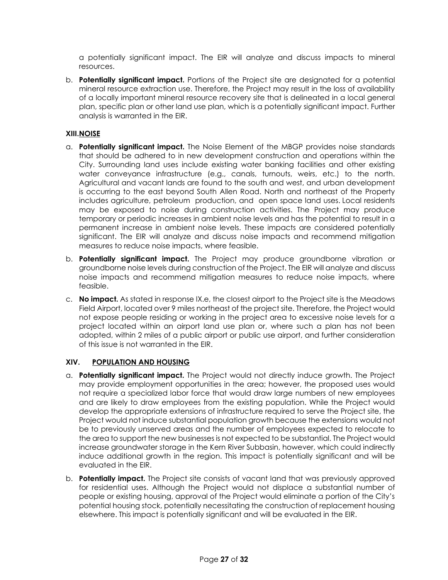a potentially significant impact. The EIR will analyze and discuss impacts to mineral resources.

b. **Potentially significant impact.** Portions of the Project site are designated for a potential mineral resource extraction use. Therefore, the Project may result in the loss of availability of a locally important mineral resource recovery site that is delineated in a local general plan, specific plan or other land use plan, which is a potentially significant impact. Further analysis is warranted in the EIR.

## **XIII.NOISE**

- a. **Potentially significant impact.** The Noise Element of the MBGP provides noise standards that should be adhered to in new development construction and operations within the City. Surrounding land uses include existing water banking facilities and other existing water conveyance infrastructure (e.g., canals, turnouts, weirs, etc.) to the north. Agricultural and vacant lands are found to the south and west, and urban development is occurring to the east beyond South Allen Road. North and northeast of the Property includes agriculture, petroleum production, and open space land uses. Local residents may be exposed to noise during construction activities. The Project may produce temporary or periodic increases in ambient noise levels and has the potential to result in a permanent increase in ambient noise levels. These impacts are considered potentially significant. The EIR will analyze and discuss noise impacts and recommend mitigation measures to reduce noise impacts, where feasible.
- b. **Potentially significant impact.** The Project may produce groundborne vibration or groundborne noise levels during construction of the Project. The EIR will analyze and discuss noise impacts and recommend mitigation measures to reduce noise impacts, where feasible.
- c. **No impact.** As stated in response IX.e, the closest airport to the Project site is the Meadows Field Airport, located over 9 miles northeast of the project site. Therefore, the Project would not expose people residing or working in the project area to excessive noise levels for a project located within an airport land use plan or, where such a plan has not been adopted, within 2 miles of a public airport or public use airport, and further consideration of this issue is not warranted in the EIR.

# **XIV. POPULATION AND HOUSING**

- a. **Potentially significant impact.** The Project would not directly induce growth. The Project may provide employment opportunities in the area; however, the proposed uses would not require a specialized labor force that would draw large numbers of new employees and are likely to draw employees from the existing population. While the Project would develop the appropriate extensions of infrastructure required to serve the Project site, the Project would not induce substantial population growth because the extensions would not be to previously unserved areas and the number of employees expected to relocate to the area to support the new businesses is not expected to be substantial. The Project would increase groundwater storage in the Kern River Subbasin, however, which could indirectly induce additional growth in the region. This impact is potentially significant and will be evaluated in the EIR.
- b. **Potentially impact.** The Project site consists of vacant land that was previously approved for residential uses. Although the Project would not displace a substantial number of people or existing housing, approval of the Project would eliminate a portion of the City's potential housing stock, potentially necessitating the construction of replacement housing elsewhere. This impact is potentially significant and will be evaluated in the EIR.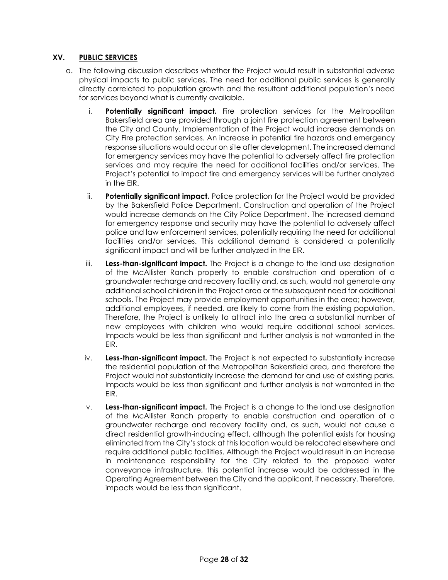### **XV. PUBLIC SERVICES**

- a. The following discussion describes whether the Project would result in substantial adverse physical impacts to public services. The need for additional public services is generally directly correlated to population growth and the resultant additional population's need for services beyond what is currently available.
	- i. **Potentially significant impact.** Fire protection services for the Metropolitan Bakersfield area are provided through a joint fire protection agreement between the City and County. Implementation of the Project would increase demands on City Fire protection services. An increase in potential fire hazards and emergency response situations would occur on site after development. The increased demand for emergency services may have the potential to adversely affect fire protection services and may require the need for additional facilities and/or services. The Project's potential to impact fire and emergency services will be further analyzed in the EIR.
	- ii. **Potentially significant impact.** Police protection for the Project would be provided by the Bakersfield Police Department. Construction and operation of the Project would increase demands on the City Police Department. The increased demand for emergency response and security may have the potential to adversely affect police and law enforcement services, potentially requiring the need for additional facilities and/or services. This additional demand is considered a potentially significant impact and will be further analyzed in the EIR.
	- iii. **Less-than-significant impact.** The Project is a change to the land use designation of the McAllister Ranch property to enable construction and operation of a groundwater recharge and recovery facility and, as such, would not generate any additional school children in the Project area or the subsequent need for additional schools. The Project may provide employment opportunities in the area; however, additional employees, if needed, are likely to come from the existing population. Therefore, the Project is unlikely to attract into the area a substantial number of new employees with children who would require additional school services. Impacts would be less than significant and further analysis is not warranted in the EIR.
	- iv. **Less-than-significant impact.** The Project is not expected to substantially increase the residential population of the Metropolitan Bakersfield area, and therefore the Project would not substantially increase the demand for and use of existing parks. Impacts would be less than significant and further analysis is not warranted in the EIR.
	- v. **Less-than-significant impact.** The Project is a change to the land use designation of the McAllister Ranch property to enable construction and operation of a groundwater recharge and recovery facility and, as such, would not cause a direct residential growth-inducing effect, although the potential exists for housing eliminated from the City's stock at this location would be relocated elsewhere and require additional public facilities. Although the Project would result in an increase in maintenance responsibility for the City related to the proposed water conveyance infrastructure, this potential increase would be addressed in the Operating Agreement between the City and the applicant, if necessary. Therefore, impacts would be less than significant.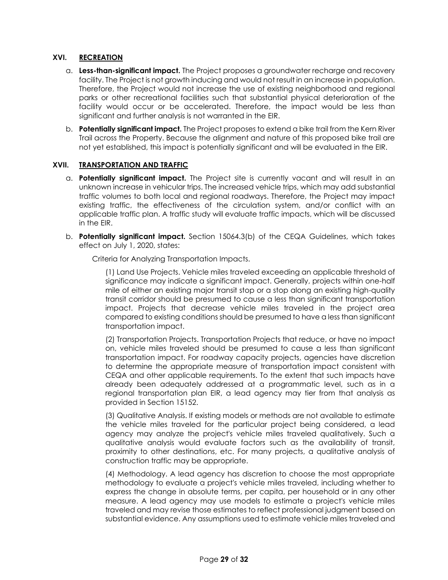#### **XVI. RECREATION**

- a. **Less-than-significant impact.** The Project proposes a groundwater recharge and recovery facility. The Project is not growth inducing and would not result in an increase in population. Therefore, the Project would not increase the use of existing neighborhood and regional parks or other recreational facilities such that substantial physical deterioration of the facility would occur or be accelerated. Therefore, the impact would be less than significant and further analysis is not warranted in the EIR.
- b. **Potentially significant impact.** The Project proposes to extend a bike trail from the Kern River Trail across the Property. Because the alignment and nature of this proposed bike trail are not yet established, this impact is potentially significant and will be evaluated in the EIR.

#### **XVII. TRANSPORTATION AND TRAFFIC**

- a. **Potentially significant impact.** The Project site is currently vacant and will result in an unknown increase in vehicular trips. The increased vehicle trips, which may add substantial traffic volumes to both local and regional roadways. Therefore, the Project may impact existing traffic, the effectiveness of the circulation system, and/or conflict with an applicable traffic plan. A traffic study will evaluate traffic impacts, which will be discussed in the EIR.
- b. **Potentially significant impact.** Section 15064.3(b) of the CEQA Guidelines, which takes effect on July 1, 2020, states:

Criteria for Analyzing Transportation Impacts.

(1) Land Use Projects. Vehicle miles traveled exceeding an applicable threshold of significance may indicate a significant impact. Generally, projects within one-half mile of either an existing major transit stop or a stop along an existing high-quality transit corridor should be presumed to cause a less than significant transportation impact. Projects that decrease vehicle miles traveled in the project area compared to existing conditions should be presumed to have a less than significant transportation impact.

(2) Transportation Projects. Transportation Projects that reduce, or have no impact on, vehicle miles traveled should be presumed to cause a less than significant transportation impact. For roadway capacity projects, agencies have discretion to determine the appropriate measure of transportation impact consistent with CEQA and other applicable requirements. To the extent that such impacts have already been adequately addressed at a programmatic level, such as in a regional transportation plan EIR, a lead agency may tier from that analysis as provided in Section 15152.

(3) Qualitative Analysis. If existing models or methods are not available to estimate the vehicle miles traveled for the particular project being considered, a lead agency may analyze the project's vehicle miles traveled qualitatively. Such a qualitative analysis would evaluate factors such as the availability of transit, proximity to other destinations, etc. For many projects, a qualitative analysis of construction traffic may be appropriate.

(4) Methodology. A lead agency has discretion to choose the most appropriate methodology to evaluate a project's vehicle miles traveled, including whether to express the change in absolute terms, per capita, per household or in any other measure. A lead agency may use models to estimate a project's vehicle miles traveled and may revise those estimates to reflect professional judgment based on substantial evidence. Any assumptions used to estimate vehicle miles traveled and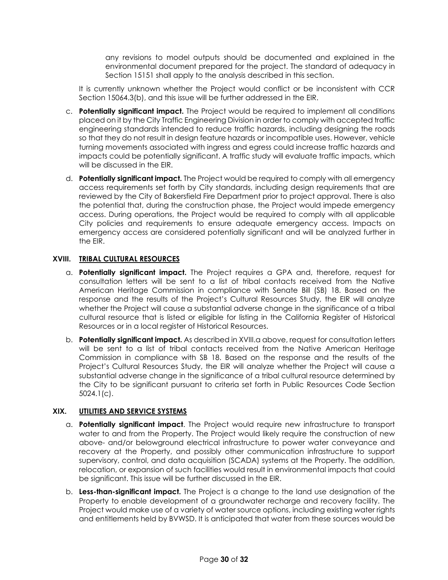any revisions to model outputs should be documented and explained in the environmental document prepared for the project. The standard of adequacy in Section 15151 shall apply to the analysis described in this section.

It is currently unknown whether the Project would conflict or be inconsistent with CCR Section 15064.3(b), and this issue will be further addressed in the EIR.

- c. **Potentially significant impact.** The Project would be required to implement all conditions placed on it by the City Traffic Engineering Division in order to comply with accepted traffic engineering standards intended to reduce traffic hazards, including designing the roads so that they do not result in design feature hazards or incompatible uses. However, vehicle turning movements associated with ingress and egress could increase traffic hazards and impacts could be potentially significant. A traffic study will evaluate traffic impacts, which will be discussed in the EIR.
- d. **Potentially significant impact.** The Project would be required to comply with all emergency access requirements set forth by City standards, including design requirements that are reviewed by the City of Bakersfield Fire Department prior to project approval. There is also the potential that, during the construction phase, the Project would impede emergency access. During operations, the Project would be required to comply with all applicable City policies and requirements to ensure adequate emergency access. Impacts on emergency access are considered potentially significant and will be analyzed further in the EIR.

#### **XVIII. TRIBAL CULTURAL RESOURCES**

- a. **Potentially significant impact.** The Project requires a GPA and, therefore, request for consultation letters will be sent to a list of tribal contacts received from the Native American Heritage Commission in compliance with Senate Bill (SB) 18. Based on the response and the results of the Project's Cultural Resources Study, the EIR will analyze whether the Project will cause a substantial adverse change in the significance of a tribal cultural resource that is listed or eligible for listing in the California Register of Historical Resources or in a local register of Historical Resources.
- b. **Potentially significant impact.** As described in XVIII.a above, request for consultation letters will be sent to a list of tribal contacts received from the Native American Heritage Commission in compliance with SB 18. Based on the response and the results of the Project's Cultural Resources Study, the EIR will analyze whether the Project will cause a substantial adverse change in the significance of a tribal cultural resource determined by the City to be significant pursuant to criteria set forth in Public Resources Code Section 5024.1(c).

#### **XIX. UTILITIES AND SERVICE SYSTEMS**

- a. **Potentially significant impact**. The Project would require new infrastructure to transport water to and from the Property. The Project would likely require the construction of new above- and/or belowground electrical infrastructure to power water conveyance and recovery at the Property, and possibly other communication infrastructure to support supervisory, control, and data acquisition (SCADA) systems at the Property. The addition, relocation, or expansion of such facilities would result in environmental impacts that could be significant. This issue will be further discussed in the EIR.
- b. **Less-than-significant impact.** The Project is a change to the land use designation of the Property to enable development of a groundwater recharge and recovery facility. The Project would make use of a variety of water source options, including existing water rights and entitlements held by BVWSD. It is anticipated that water from these sources would be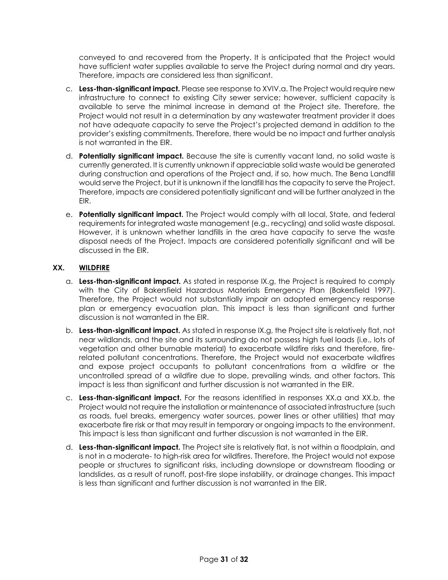conveyed to and recovered from the Property. It is anticipated that the Project would have sufficient water supplies available to serve the Project during normal and dry years. Therefore, impacts are considered less than significant.

- c. **Less-than-significant impact.** Please see response to XVIV.a. The Project would require new infrastructure to connect to existing City sewer service; however, sufficient capacity is available to serve the minimal increase in demand at the Project site. Therefore, the Project would not result in a determination by any wastewater treatment provider it does not have adequate capacity to serve the Project's projected demand in addition to the provider's existing commitments. Therefore, there would be no impact and further analysis is not warranted in the EIR.
- d. **Potentially significant impact.** Because the site is currently vacant land, no solid waste is currently generated. It is currently unknown if appreciable solid waste would be generated during construction and operations of the Project and, if so, how much. The Bena Landfill would serve the Project, but it is unknown if the landfill has the capacity to serve the Project. Therefore, impacts are considered potentially significant and will be further analyzed in the EIR.
- e. **Potentially significant impact.** The Project would comply with all local, State, and federal requirements for integrated waste management (e.g., recycling) and solid waste disposal. However, it is unknown whether landfills in the area have capacity to serve the waste disposal needs of the Project. Impacts are considered potentially significant and will be discussed in the EIR.

# **XX. WILDFIRE**

- a. **Less-than-significant impact.** As stated in response IX.g, the Project is required to comply with the City of Bakersfield Hazardous Materials Emergency Plan (Bakersfield 1997). Therefore, the Project would not substantially impair an adopted emergency response plan or emergency evacuation plan. This impact is less than significant and further discussion is not warranted in the EIR.
- b. **Less-than-significant impact.** As stated in response IX.g, the Project site is relatively flat, not near wildlands, and the site and its surrounding do not possess high fuel loads (i.e., lots of vegetation and other burnable material) to exacerbate wildfire risks and therefore, firerelated pollutant concentrations. Therefore, the Project would not exacerbate wildfires and expose project occupants to pollutant concentrations from a wildfire or the uncontrolled spread of a wildfire due to slope, prevailing winds, and other factors. This impact is less than significant and further discussion is not warranted in the EIR.
- c. **Less-than-significant impact.** For the reasons identified in responses XX.a and XX.b, the Project would not require the installation or maintenance of associated infrastructure (such as roads, fuel breaks, emergency water sources, power lines or other utilities) that may exacerbate fire risk or that may result in temporary or ongoing impacts to the environment. This impact is less than significant and further discussion is not warranted in the EIR.
- d. **Less-than-significant impact.** The Project site is relatively flat, is not within a floodplain, and is not in a moderate- to high-risk area for wildfires. Therefore, the Project would not expose people or structures to significant risks, including downslope or downstream flooding or landslides, as a result of runoff, post-fire slope instability, or drainage changes. This impact is less than significant and further discussion is not warranted in the EIR.